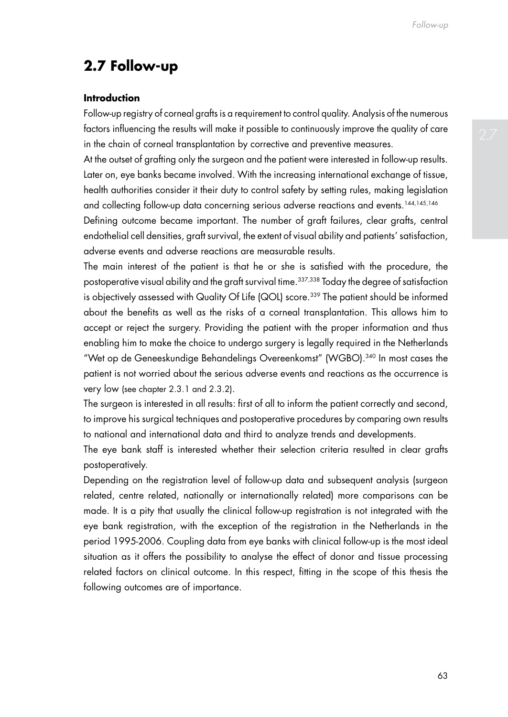# **2.7 Follow-up**

## **Introduction**

Follow-up registry of corneal grafts is a requirement to control quality. Analysis of the numerous factors influencing the results will make it possible to continuously improve the quality of care in the chain of corneal transplantation by corrective and preventive measures.

At the outset of grafting only the surgeon and the patient were interested in follow-up results. Later on, eye banks became involved. With the increasing international exchange of tissue, health authorities consider it their duty to control safety by setting rules, making legislation and collecting follow-up data concerning serious adverse reactions and events.144,145,146

Defining outcome became important. The number of graft failures, clear grafts, central endothelial cell densities, graft survival, the extent of visual ability and patients' satisfaction, adverse events and adverse reactions are measurable results.

The main interest of the patient is that he or she is satisfied with the procedure, the postoperative visual ability and the graft survival time.<sup>337,338</sup> Today the degree of satisfaction is objectively assessed with Quality Of Life (QOL) score.<sup>339</sup> The patient should be informed about the benefits as well as the risks of a corneal transplantation. This allows him to accept or reject the surgery. Providing the patient with the proper information and thus enabling him to make the choice to undergo surgery is legally required in the Netherlands "Wet op de Geneeskundige Behandelings Overeenkomst" (WGBO).340 In most cases the patient is not worried about the serious adverse events and reactions as the occurrence is very low (see chapter 2.3.1 and 2.3.2).

The surgeon is interested in all results: first of all to inform the patient correctly and second, to improve his surgical techniques and postoperative procedures by comparing own results to national and international data and third to analyze trends and developments.

The eye bank staff is interested whether their selection criteria resulted in clear grafts postoperatively.

Depending on the registration level of follow-up data and subsequent analysis (surgeon related, centre related, nationally or internationally related) more comparisons can be made. It is a pity that usually the clinical follow-up registration is not integrated with the eye bank registration, with the exception of the registration in the Netherlands in the period 1995-2006. Coupling data from eye banks with clinical follow-up is the most ideal situation as it offers the possibility to analyse the effect of donor and tissue processing related factors on clinical outcome. In this respect, fitting in the scope of this thesis the following outcomes are of importance.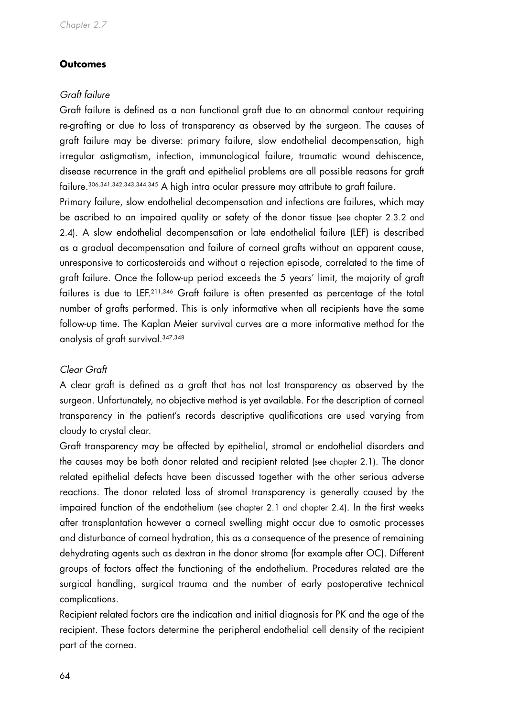## **Outcomes**

## *Graft failure*

Graft failure is defined as a non functional graft due to an abnormal contour requiring re-grafting or due to loss of transparency as observed by the surgeon. The causes of graft failure may be diverse: primary failure, slow endothelial decompensation, high irregular astigmatism, infection, immunological failure, traumatic wound dehiscence, disease recurrence in the graft and epithelial problems are all possible reasons for graft failure.306,341,342,343,344,345 A high intra ocular pressure may attribute to graft failure.

Primary failure, slow endothelial decompensation and infections are failures, which may be ascribed to an impaired quality or safety of the donor tissue (see chapter 2.3.2 and 2.4). A slow endothelial decompensation or late endothelial failure (LEF) is described as a gradual decompensation and failure of corneal grafts without an apparent cause, unresponsive to corticosteroids and without a rejection episode, correlated to the time of graft failure. Once the follow-up period exceeds the 5 years' limit, the majority of graft failures is due to LEF.<sup>211,346</sup> Graft failure is often presented as percentage of the total number of grafts performed. This is only informative when all recipients have the same follow-up time. The Kaplan Meier survival curves are a more informative method for the analysis of graft survival.347,348

#### *Clear Graft*

A clear graft is defined as a graft that has not lost transparency as observed by the surgeon. Unfortunately, no objective method is yet available. For the description of corneal transparency in the patient's records descriptive qualifications are used varying from cloudy to crystal clear.

Graft transparency may be affected by epithelial, stromal or endothelial disorders and the causes may be both donor related and recipient related (see chapter 2.1). The donor related epithelial defects have been discussed together with the other serious adverse reactions. The donor related loss of stromal transparency is generally caused by the impaired function of the endothelium (see chapter 2.1 and chapter 2.4). In the first weeks after transplantation however a corneal swelling might occur due to osmotic processes and disturbance of corneal hydration, this as a consequence of the presence of remaining dehydrating agents such as dextran in the donor stroma (for example after OC). Different groups of factors affect the functioning of the endothelium. Procedures related are the surgical handling, surgical trauma and the number of early postoperative technical complications.

Recipient related factors are the indication and initial diagnosis for PK and the age of the recipient. These factors determine the peripheral endothelial cell density of the recipient part of the cornea.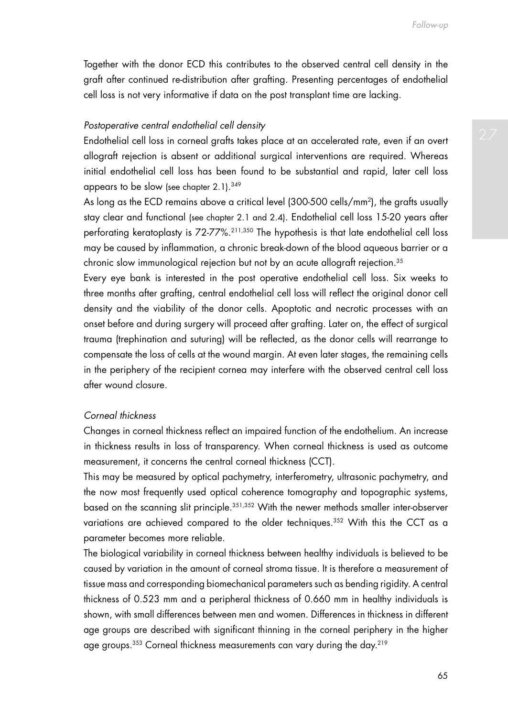Together with the donor ECD this contributes to the observed central cell density in the graft after continued re-distribution after grafting. Presenting percentages of endothelial cell loss is not very informative if data on the post transplant time are lacking.

#### *Postoperative central endothelial cell density*

Endothelial cell loss in corneal grafts takes place at an accelerated rate, even if an overt allograft rejection is absent or additional surgical interventions are required. Whereas initial endothelial cell loss has been found to be substantial and rapid, later cell loss appears to be slow (see chapter 2.1). 349

As long as the ECD remains above a critical level (300-500 cells/mm2), the grafts usually stay clear and functional (see chapter 2.1 and 2.4). Endothelial cell loss 15-20 years after perforating keratoplasty is 72-77%.211,350 The hypothesis is that late endothelial cell loss may be caused by inflammation, a chronic break-down of the blood aqueous barrier or a chronic slow immunological rejection but not by an acute allograft rejection.35

Every eye bank is interested in the post operative endothelial cell loss. Six weeks to three months after grafting, central endothelial cell loss will reflect the original donor cell density and the viability of the donor cells. Apoptotic and necrotic processes with an onset before and during surgery will proceed after grafting. Later on, the effect of surgical trauma (trephination and suturing) will be reflected, as the donor cells will rearrange to compensate the loss of cells at the wound margin. At even later stages, the remaining cells in the periphery of the recipient cornea may interfere with the observed central cell loss after wound closure.

## *Corneal thickness*

Changes in corneal thickness reflect an impaired function of the endothelium. An increase in thickness results in loss of transparency. When corneal thickness is used as outcome measurement, it concerns the central corneal thickness (CCT).

This may be measured by optical pachymetry, interferometry, ultrasonic pachymetry, and the now most frequently used optical coherence tomography and topographic systems, based on the scanning slit principle.351,352 With the newer methods smaller inter-observer variations are achieved compared to the older techniques.<sup>352</sup> With this the CCT as a parameter becomes more reliable.

The biological variability in corneal thickness between healthy individuals is believed to be caused by variation in the amount of corneal stroma tissue. It is therefore a measurement of tissue mass and corresponding biomechanical parameters such as bending rigidity. A central thickness of 0.523 mm and a peripheral thickness of 0.660 mm in healthy individuals is shown, with small differences between men and women. Differences in thickness in different age groups are described with significant thinning in the corneal periphery in the higher age groups.<sup>353</sup> Corneal thickness measurements can vary during the day.<sup>219</sup>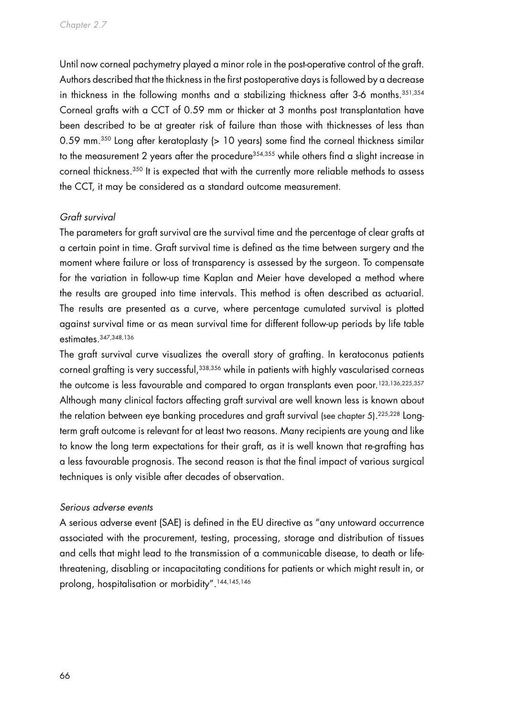Until now corneal pachymetry played a minor role in the post-operative control of the graft. Authors described that the thickness in the first postoperative days is followed by a decrease in thickness in the following months and a stabilizing thickness after 3-6 months.<sup>351,354</sup> Corneal grafts with a CCT of 0.59 mm or thicker at 3 months post transplantation have been described to be at greater risk of failure than those with thicknesses of less than 0.59 mm.<sup>350</sup> Long after keratoplasty (> 10 years) some find the corneal thickness similar to the measurement 2 years after the procedure<sup>354,355</sup> while others find a slight increase in corneal thickness.350 It is expected that with the currently more reliable methods to assess the CCT, it may be considered as a standard outcome measurement.

# *Graft survival*

The parameters for graft survival are the survival time and the percentage of clear grafts at a certain point in time. Graft survival time is defined as the time between surgery and the moment where failure or loss of transparency is assessed by the surgeon. To compensate for the variation in follow-up time Kaplan and Meier have developed a method where the results are grouped into time intervals. This method is often described as actuarial. The results are presented as a curve, where percentage cumulated survival is plotted against survival time or as mean survival time for different follow-up periods by life table estimates.347,348,136

The graft survival curve visualizes the overall story of grafting. In keratoconus patients corneal grafting is very successful,<sup>338,356</sup> while in patients with highly vascularised corneas the outcome is less favourable and compared to organ transplants even poor.<sup>123,136,225,357</sup> Although many clinical factors affecting graft survival are well known less is known about the relation between eye banking procedures and graft survival (see chapter 5). $^{225,228}$  Longterm graft outcome is relevant for at least two reasons. Many recipients are young and like to know the long term expectations for their graft, as it is well known that re-grafting has a less favourable prognosis. The second reason is that the final impact of various surgical techniques is only visible after decades of observation.

#### *Serious adverse events*

A serious adverse event (SAE) is defined in the EU directive as "any untoward occurrence associated with the procurement, testing, processing, storage and distribution of tissues and cells that might lead to the transmission of a communicable disease, to death or lifethreatening, disabling or incapacitating conditions for patients or which might result in, or prolong, hospitalisation or morbidity".<sup>144,145,146</sup>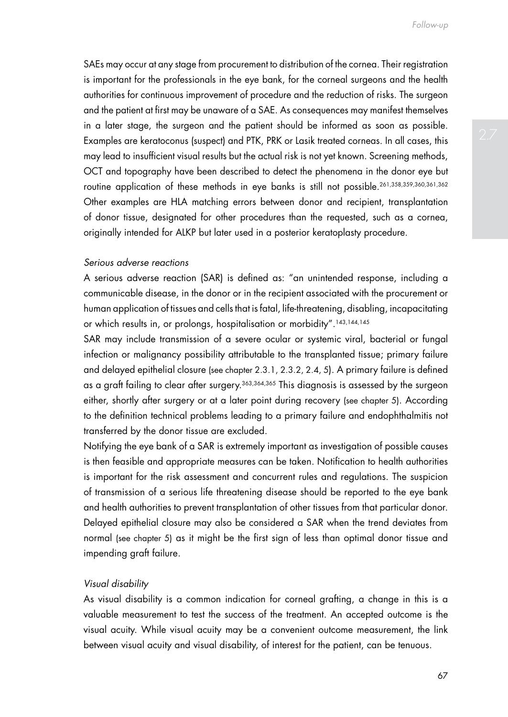*Follow-up*

SAEs may occur at any stage from procurement to distribution of the cornea. Their registration is important for the professionals in the eye bank, for the corneal surgeons and the health authorities for continuous improvement of procedure and the reduction of risks. The surgeon and the patient at first may be unaware of a SAE. As consequences may manifest themselves in a later stage, the surgeon and the patient should be informed as soon as possible. Examples are keratoconus (suspect) and PTK, PRK or Lasik treated corneas. In all cases, this may lead to insufficient visual results but the actual risk is not yet known. Screening methods, OCT and topography have been described to detect the phenomena in the donor eye but routine application of these methods in eye banks is still not possible.261,358,359,360,361,362 Other examples are HLA matching errors between donor and recipient, transplantation of donor tissue, designated for other procedures than the requested, such as a cornea, originally intended for ALKP but later used in a posterior keratoplasty procedure.

#### *Serious adverse reactions*

A serious adverse reaction (SAR) is defined as: "an unintended response, including a communicable disease, in the donor or in the recipient associated with the procurement or human application of tissues and cells that is fatal, life-threatening, disabling, incapacitating or which results in, or prolongs, hospitalisation or morbidity".143,144,145

SAR may include transmission of a severe ocular or systemic viral, bacterial or fungal infection or malignancy possibility attributable to the transplanted tissue; primary failure and delayed epithelial closure (see chapter 2.3.1, 2.3.2, 2.4, 5). A primary failure is defined as a graft failing to clear after surgery.<sup>363,364,365</sup> This diagnosis is assessed by the surgeon either, shortly after surgery or at a later point during recovery (see chapter 5). According to the definition technical problems leading to a primary failure and endophthalmitis not transferred by the donor tissue are excluded.

Notifying the eye bank of a SAR is extremely important as investigation of possible causes is then feasible and appropriate measures can be taken. Notification to health authorities is important for the risk assessment and concurrent rules and regulations. The suspicion of transmission of a serious life threatening disease should be reported to the eye bank and health authorities to prevent transplantation of other tissues from that particular donor. Delayed epithelial closure may also be considered a SAR when the trend deviates from normal (see chapter 5) as it might be the first sign of less than optimal donor tissue and impending graft failure.

#### *Visual disability*

As visual disability is a common indication for corneal grafting, a change in this is a valuable measurement to test the success of the treatment. An accepted outcome is the visual acuity. While visual acuity may be a convenient outcome measurement, the link between visual acuity and visual disability, of interest for the patient, can be tenuous.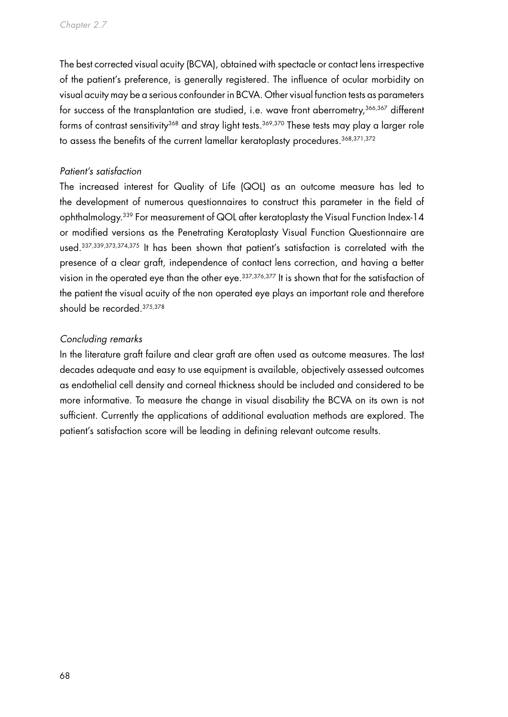The best corrected visual acuity (BCVA), obtained with spectacle or contact lens irrespective of the patient's preference, is generally registered. The influence of ocular morbidity on visual acuity may be a serious confounder in BCVA. Other visual function tests as parameters for success of the transplantation are studied, i.e. wave front aberrometry, 366,367 different forms of contrast sensitivity<sup>368</sup> and stray light tests.<sup>369,370</sup> These tests may play a larger role to assess the benefits of the current lamellar keratoplasty procedures.<sup>368,371,372</sup>

## *Patient's satisfaction*

The increased interest for Quality of Life (QOL) as an outcome measure has led to the development of numerous questionnaires to construct this parameter in the field of ophthalmology.339 For measurement of QOL after keratoplasty the Visual Function Index-14 or modified versions as the Penetrating Keratoplasty Visual Function Questionnaire are used.337,339,373,374,375 It has been shown that patient's satisfaction is correlated with the presence of a clear graft, independence of contact lens correction, and having a better vision in the operated eye than the other eye.337,376,377 It is shown that for the satisfaction of the patient the visual acuity of the non operated eye plays an important role and therefore should be recorded.375,378

## *Concluding remarks*

In the literature graft failure and clear graft are often used as outcome measures. The last decades adequate and easy to use equipment is available, objectively assessed outcomes as endothelial cell density and corneal thickness should be included and considered to be more informative. To measure the change in visual disability the BCVA on its own is not sufficient. Currently the applications of additional evaluation methods are explored. The patient's satisfaction score will be leading in defining relevant outcome results.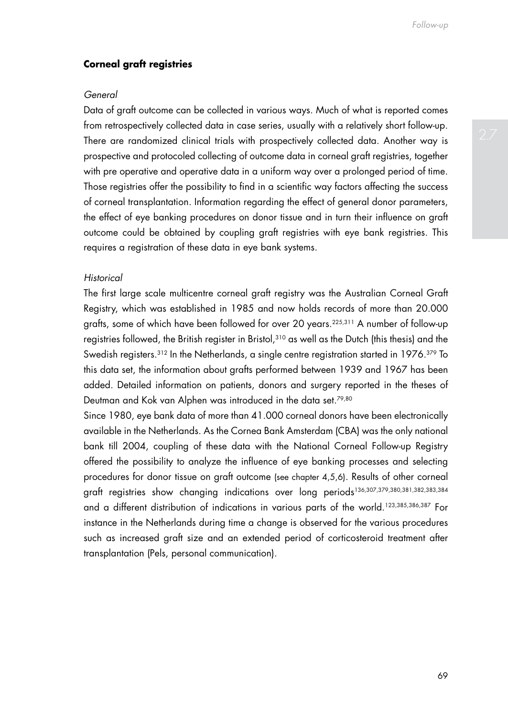## **Corneal graft registries**

#### *General*

Data of graft outcome can be collected in various ways. Much of what is reported comes from retrospectively collected data in case series, usually with a relatively short follow-up. There are randomized clinical trials with prospectively collected data. Another way is prospective and protocoled collecting of outcome data in corneal graft registries, together with pre operative and operative data in a uniform way over a prolonged period of time. Those registries offer the possibility to find in a scientific way factors affecting the success of corneal transplantation. Information regarding the effect of general donor parameters, the effect of eye banking procedures on donor tissue and in turn their influence on graft outcome could be obtained by coupling graft registries with eye bank registries. This requires a registration of these data in eye bank systems.

## *Historical*

The first large scale multicentre corneal graft registry was the Australian Corneal Graft Registry, which was established in 1985 and now holds records of more than 20.000 grafts, some of which have been followed for over 20 years.225,311 A number of follow-up registries followed, the British register in Bristol,310 as well as the Dutch (this thesis) and the Swedish registers.<sup>312</sup> In the Netherlands, a single centre registration started in 1976.<sup>379</sup> To this data set, the information about grafts performed between 1939 and 1967 has been added. Detailed information on patients, donors and surgery reported in the theses of Deutman and Kok van Alphen was introduced in the data set.<sup>79,80</sup>

Since 1980, eye bank data of more than 41.000 corneal donors have been electronically available in the Netherlands. As the Cornea Bank Amsterdam (CBA) was the only national bank till 2004, coupling of these data with the National Corneal Follow-up Registry offered the possibility to analyze the influence of eye banking processes and selecting procedures for donor tissue on graft outcome (see chapter 4,5,6). Results of other corneal graft registries show changing indications over long periods136,307,379,380,381,382,383,384 and a different distribution of indications in various parts of the world.<sup>123,385,386,387</sup> For instance in the Netherlands during time a change is observed for the various procedures such as increased graft size and an extended period of corticosteroid treatment after transplantation (Pels, personal communication).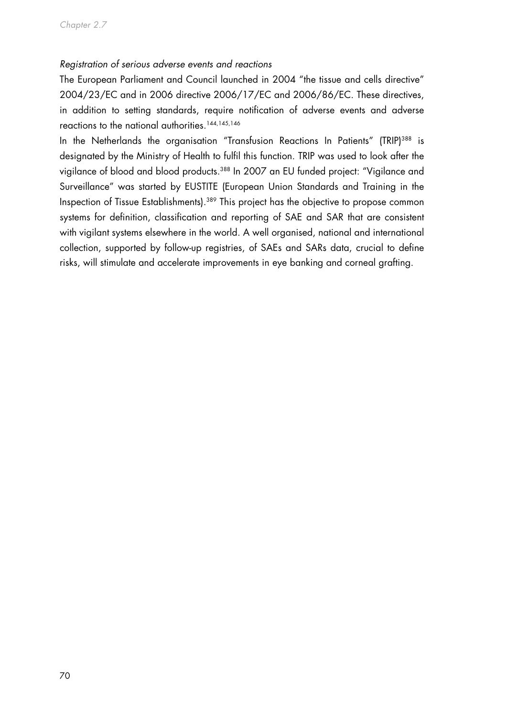## *Registration of serious adverse events and reactions*

The European Parliament and Council launched in 2004 "the tissue and cells directive" 2004/23/EC and in 2006 directive 2006/17/EC and 2006/86/EC. These directives, in addition to setting standards, require notification of adverse events and adverse reactions to the national authorities.<sup>144,145,146</sup>

In the Netherlands the organisation "Transfusion Reactions In Patients" (TRIP)<sup>388</sup> is designated by the Ministry of Health to fulfil this function. TRIP was used to look after the vigilance of blood and blood products.388 In 2007 an EU funded project: "Vigilance and Surveillance" was started by EUSTITE (European Union Standards and Training in the Inspection of Tissue Establishments).<sup>389</sup> This project has the objective to propose common systems for definition, classification and reporting of SAE and SAR that are consistent with vigilant systems elsewhere in the world. A well organised, national and international collection, supported by follow-up registries, of SAEs and SARs data, crucial to define risks, will stimulate and accelerate improvements in eye banking and corneal grafting.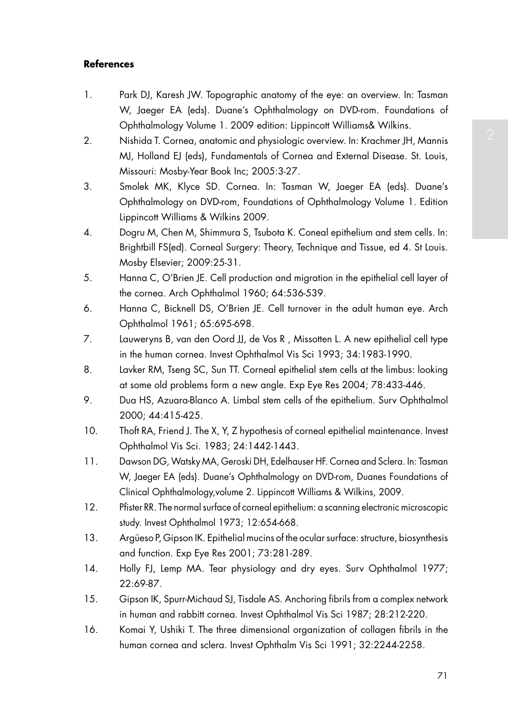## **References**

- 1. Park DJ, Karesh JW. Topographic anatomy of the eye: an overview. In: Tasman W, Jaeger EA (eds). Duane's Ophthalmology on DVD-rom. Foundations of Ophthalmology Volume 1. 2009 edition: Lippincott Williams& Wilkins.
- 2. Nishida T. Cornea, anatomic and physiologic overview. In: Krachmer JH, Mannis MJ, Holland EJ (eds), Fundamentals of Cornea and External Disease. St. Louis, Missouri: Mosby-Year Book Inc; 2005:3-27.
- 3. Smolek MK, Klyce SD. Cornea. In: Tasman W, Jaeger EA (eds). Duane's Ophthalmology on DVD-rom, Foundations of Ophthalmology Volume 1. Edition Lippincott Williams & Wilkins 2009.
- 4. Dogru M, Chen M, Shimmura S, Tsubota K. Coneal epithelium and stem cells. In: Brightbill FS(ed). Corneal Surgery: Theory, Technique and Tissue, ed 4. St Louis. Mosby Elsevier; 2009:25-31.
- 5. Hanna C, O'Brien JE. Cell production and migration in the epithelial cell layer of the cornea. Arch Ophthalmol 1960; 64:536-539.
- 6. Hanna C, Bicknell DS, O'Brien JE. Cell turnover in the adult human eye. Arch Ophthalmol 1961; 65:695-698.
- 7. Lauweryns B, van den Oord JJ, de Vos R , Missotten L. A new epithelial cell type in the human cornea. Invest Ophthalmol Vis Sci 1993; 34:1983-1990.
- 8. Lavker RM, Tseng SC, Sun TT. Corneal epithelial stem cells at the limbus: looking at some old problems form a new angle. Exp Eye Res 2004; 78:433-446.
- 9. Dua HS, Azuara-Blanco A. Limbal stem cells of the epithelium. Surv Ophthalmol 2000; 44:415-425.
- 10. Thoft RA, Friend J. The X, Y, Z hypothesis of corneal epithelial maintenance. Invest Ophthalmol Vis Sci. 1983; 24:1442-1443.
- 11. Dawson DG, Watsky MA, Geroski DH, Edelhauser HF. Cornea and Sclera. In: Tasman W, Jaeger EA (eds). Duane's Ophthalmology on DVD-rom, Duanes Foundations of Clinical Ophthalmology,volume 2. Lippincott Williams & Wilkins, 2009.
- 12. Pfister RR. The normal surface of corneal epithelium: a scanning electronic microscopic study. Invest Ophthalmol 1973; 12:654-668.
- 13. Argüeso P, Gipson IK. Epithelial mucins of the ocular surface: structure, biosynthesis and function. Exp Eye Res 2001; 73:281-289.
- 14. Holly FJ, Lemp MA. Tear physiology and dry eyes. Surv Ophthalmol 1977; 22:69-87.
- 15. Gipson IK, Spurr-Michaud SJ, Tisdale AS. Anchoring fibrils from a complex network in human and rabbitt cornea. Invest Ophthalmol Vis Sci 1987; 28:212-220.
- 16. Komai Y, Ushiki T. The three dimensional organization of collagen fibrils in the human cornea and sclera. Invest Ophthalm Vis Sci 1991; 32:2244-2258.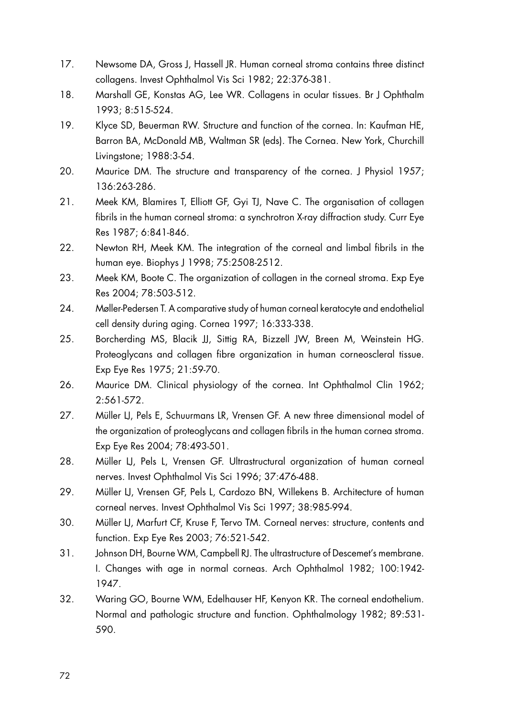- 17. Newsome DA, Gross J, Hassell JR. Human corneal stroma contains three distinct collagens. Invest Ophthalmol Vis Sci 1982; 22:376-381.
- 18. Marshall GE, Konstas AG, Lee WR. Collagens in ocular tissues. Br J Ophthalm 1993; 8:515-524.
- 19. Klyce SD, Beuerman RW. Structure and function of the cornea. In: Kaufman HE, Barron BA, McDonald MB, Waltman SR (eds). The Cornea. New York, Churchill Livingstone; 1988:3-54.
- 20. Maurice DM. The structure and transparency of the cornea. J Physiol 1957; 136:263-286.
- 21. Meek KM, Blamires T, Elliott GF, Gyi TJ, Nave C. The organisation of collagen fibrils in the human corneal stroma: a synchrotron X-ray diffraction study. Curr Eye Res 1987; 6:841-846.
- 22. Newton RH, Meek KM. The integration of the corneal and limbal fibrils in the human eye. Biophys J 1998; 75:2508-2512.
- 23. Meek KM, Boote C. The organization of collagen in the corneal stroma. Exp Eye Res 2004; 78:503-512.
- 24. Møller-Pedersen T. A comparative study of human corneal keratocyte and endothelial cell density during aging. Cornea 1997; 16:333-338.
- 25. Borcherding MS, Blacik JJ, Sittig RA, Bizzell JW, Breen M, Weinstein HG. Proteoglycans and collagen fibre organization in human corneoscleral tissue. Exp Eye Res 1975; 21:59-70.
- 26. Maurice DM. Clinical physiology of the cornea. Int Ophthalmol Clin 1962; 2:561-572.
- 27. Müller LJ, Pels E, Schuurmans LR, Vrensen GF. A new three dimensional model of the organization of proteoglycans and collagen fibrils in the human cornea stroma. Exp Eye Res 2004; 78:493-501.
- 28. Müller LJ, Pels L, Vrensen GF. Ultrastructural organization of human corneal nerves. Invest Ophthalmol Vis Sci 1996; 37:476-488.
- 29. Müller LJ, Vrensen GF, Pels L, Cardozo BN, Willekens B. Architecture of human corneal nerves. Invest Ophthalmol Vis Sci 1997; 38:985-994.
- 30. Müller LJ, Marfurt CF, Kruse F, Tervo TM. Corneal nerves: structure, contents and function. Exp Eye Res 2003; 76:521-542.
- 31. Johnson DH, Bourne WM, Campbell RJ. The ultrastructure of Descemet's membrane. I. Changes with age in normal corneas. Arch Ophthalmol 1982; 100:1942- 1947.
- 32. Waring GO, Bourne WM, Edelhauser HF, Kenyon KR. The corneal endothelium. Normal and pathologic structure and function. Ophthalmology 1982; 89:531- 590.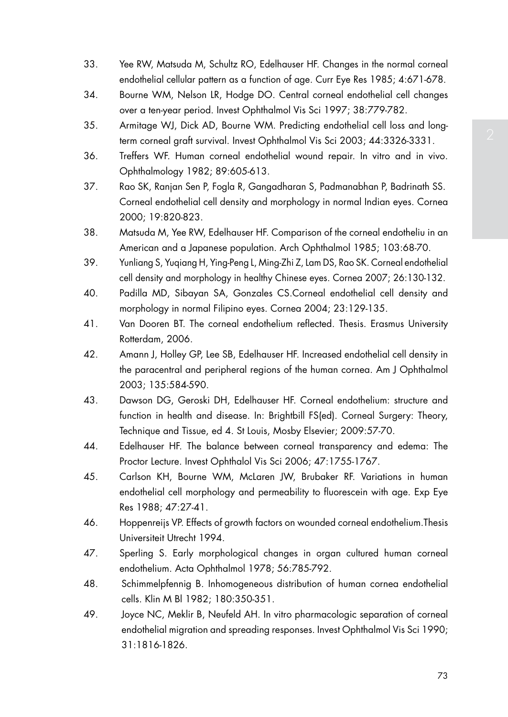- 33. Yee RW, Matsuda M, Schultz RO, Edelhauser HF. Changes in the normal corneal endothelial cellular pattern as a function of age. Curr Eye Res 1985; 4:671-678.
- 34. Bourne WM, Nelson LR, Hodge DO. Central corneal endothelial cell changes over a ten-year period. Invest Ophthalmol Vis Sci 1997; 38:779-782.
- 35. Armitage WJ, Dick AD, Bourne WM. Predicting endothelial cell loss and longterm corneal graft survival. Invest Ophthalmol Vis Sci 2003; 44:3326-3331.
- 36. Treffers WF. Human corneal endothelial wound repair. In vitro and in vivo. Ophthalmology 1982; 89:605-613.
- 37. Rao SK, Ranjan Sen P, Fogla R, Gangadharan S, Padmanabhan P, Badrinath SS. Corneal endothelial cell density and morphology in normal Indian eyes. Cornea 2000; 19:820-823.
- 38. Matsuda M, Yee RW, Edelhauser HF. Comparison of the corneal endotheliu in an American and a Japanese population. Arch Ophthalmol 1985; 103:68-70.
- 39. Yunliang S, Yuqiang H, Ying-Peng L, Ming-Zhi Z, Lam DS, Rao SK. Corneal endothelial cell density and morphology in healthy Chinese eyes. Cornea 2007; 26:130-132.
- 40. Padilla MD, Sibayan SA, Gonzales CS.Corneal endothelial cell density and morphology in normal Filipino eyes. Cornea 2004; 23:129-135.
- 41. Van Dooren BT. The corneal endothelium reflected. Thesis. Erasmus University Rotterdam, 2006.
- 42. Amann J, Holley GP, Lee SB, Edelhauser HF. Increased endothelial cell density in the paracentral and peripheral regions of the human cornea. Am J Ophthalmol 2003; 135:584-590.
- 43. Dawson DG, Geroski DH, Edelhauser HF. Corneal endothelium: structure and function in health and disease. In: Brightbill FS(ed). Corneal Surgery: Theory, Technique and Tissue, ed 4. St Louis, Mosby Elsevier; 2009:57-70.
- 44. Edelhauser HF. The balance between corneal transparency and edema: The Proctor Lecture. Invest Ophthalol Vis Sci 2006; 47:1755-1767.
- 45. Carlson KH, Bourne WM, McLaren JW, Brubaker RF. Variations in human endothelial cell morphology and permeability to fluorescein with age. Exp Eye Res 1988; 47:27-41.
- 46. Hoppenreijs VP. Effects of growth factors on wounded corneal endothelium.Thesis Universiteit Utrecht 1994.
- 47. Sperling S. Early morphological changes in organ cultured human corneal endothelium. Acta Ophthalmol 1978; 56:785-792.
- 48. Schimmelpfennig B. Inhomogeneous distribution of human cornea endothelial cells. Klin M Bl 1982; 180:350-351.
- 49. Joyce NC, Meklir B, Neufeld AH. In vitro pharmacologic separation of corneal endothelial migration and spreading responses. Invest Ophthalmol Vis Sci 1990; 31:1816-1826.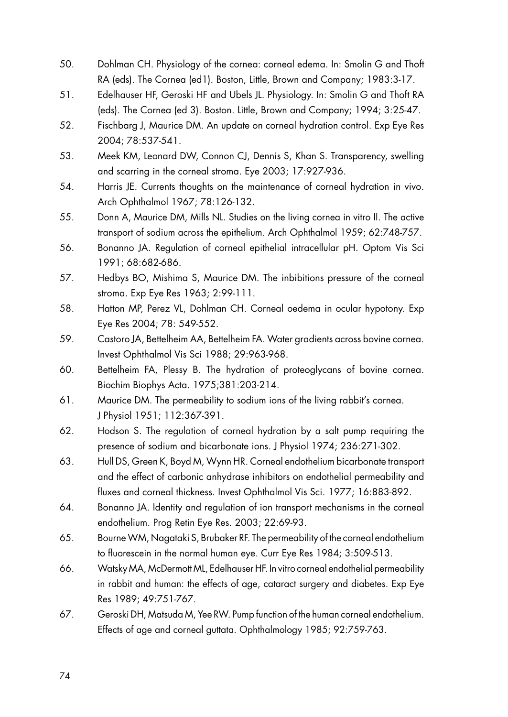- 50. Dohlman CH. Physiology of the cornea: corneal edema. In: Smolin G and Thoft RA (eds). The Cornea (ed1). Boston, Little, Brown and Company; 1983:3-17.
- 51. Edelhauser HF, Geroski HF and Ubels JL. Physiology. In: Smolin G and Thoft RA (eds). The Cornea (ed 3). Boston. Little, Brown and Company; 1994; 3:25-47.
- 52. Fischbarg J, Maurice DM. An update on corneal hydration control. Exp Eye Res 2004; 78:537-541.
- 53. Meek KM, Leonard DW, Connon CJ, Dennis S, Khan S. Transparency, swelling and scarring in the corneal stroma. Eye 2003; 17:927-936.
- 54. Harris JE. Currents thoughts on the maintenance of corneal hydration in vivo. Arch Ophthalmol 1967; 78:126-132.
- 55. Donn A, Maurice DM, Mills NL. Studies on the living cornea in vitro II. The active transport of sodium across the epithelium. Arch Ophthalmol 1959; 62:748-757.
- 56. Bonanno JA. Regulation of corneal epithelial intracellular pH. Optom Vis Sci 1991; 68:682-686.
- 57. Hedbys BO, Mishima S, Maurice DM. The inbibitions pressure of the corneal stroma. Exp Eye Res 1963; 2:99-111.
- 58. Hatton MP, Perez VL, Dohlman CH. Corneal oedema in ocular hypotony. Exp Eye Res 2004; 78: 549-552.
- 59. Castoro JA, Bettelheim AA, Bettelheim FA. Water gradients across bovine cornea. Invest Ophthalmol Vis Sci 1988; 29:963-968.
- 60. Bettelheim FA, Plessy B. The hydration of proteoglycans of bovine cornea. Biochim Biophys Acta. 1975;381:203-214.
- 61. Maurice DM. The permeability to sodium ions of the living rabbit's cornea. J Physiol 1951; 112:367-391.
- 62. Hodson S. The regulation of corneal hydration by a salt pump requiring the presence of sodium and bicarbonate ions. J Physiol 1974; 236:271-302.
- 63. Hull DS, Green K, Boyd M, Wynn HR. Corneal endothelium bicarbonate transport and the effect of carbonic anhydrase inhibitors on endothelial permeability and fluxes and corneal thickness. Invest Ophthalmol Vis Sci. 1977; 16:883-892.
- 64. Bonanno JA. Identity and regulation of ion transport mechanisms in the corneal endothelium. Prog Retin Eye Res. 2003; 22:69-93.
- 65. Bourne WM, Nagataki S, Brubaker RF. The permeability of the corneal endothelium to fluorescein in the normal human eye. Curr Eye Res 1984; 3:509-513.
- 66. Watsky MA, McDermott ML, Edelhauser HF. In vitro corneal endothelial permeability in rabbit and human: the effects of age, cataract surgery and diabetes. Exp Eye Res 1989; 49:751-767.
- 67. Geroski DH, Matsuda M, Yee RW. Pump function of the human corneal endothelium. Effects of age and corneal guttata. Ophthalmology 1985; 92:759-763.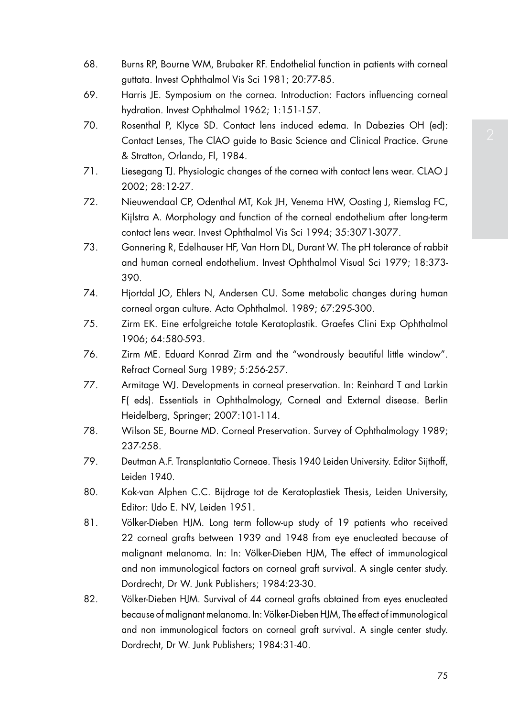- 68. Burns RP, Bourne WM, Brubaker RF. Endothelial function in patients with corneal guttata. Invest Ophthalmol Vis Sci 1981; 20:77-85.
- 69. Harris JE. Symposium on the cornea. Introduction: Factors influencing corneal hydration. Invest Ophthalmol 1962; 1:151-157.
- 70. Rosenthal P, Klyce SD. Contact lens induced edema. In Dabezies OH (ed): Contact Lenses, The ClAO guide to Basic Science and Clinical Practice. Grune & Stratton, Orlando, Fl, 1984.
- 71. Liesegang TJ. Physiologic changes of the cornea with contact lens wear. CLAO J 2002; 28:12-27.
- 72. Nieuwendaal CP, Odenthal MT, Kok JH, Venema HW, Oosting J, Riemslag FC, Kijlstra A. Morphology and function of the corneal endothelium after long-term contact lens wear. Invest Ophthalmol Vis Sci 1994; 35:3071-3077.
- 73. Gonnering R, Edelhauser HF, Van Horn DL, Durant W. The pH tolerance of rabbit and human corneal endothelium. Invest Ophthalmol Visual Sci 1979; 18:373- 390.
- 74. Hjortdal JO, Ehlers N, Andersen CU. Some metabolic changes during human corneal organ culture. Acta Ophthalmol. 1989; 67:295-300.
- 75. Zirm EK. Eine erfolgreiche totale Keratoplastik. Graefes Clini Exp Ophthalmol 1906; 64:580-593.
- 76. Zirm ME. Eduard Konrad Zirm and the "wondrously beautiful little window". Refract Corneal Surg 1989; 5:256-257.
- 77. Armitage WJ. Developments in corneal preservation. In: Reinhard T and Larkin F( eds). Essentials in Ophthalmology, Corneal and External disease. Berlin Heidelberg, Springer; 2007:101-114.
- 78. Wilson SE, Bourne MD. Corneal Preservation. Survey of Ophthalmology 1989; 237-258.
- 79. Deutman A.F. Transplantatio Corneae. Thesis 1940 Leiden University. Editor Sijthoff, Leiden 1940.
- 80. Kok-van Alphen C.C. Bijdrage tot de Keratoplastiek Thesis, Leiden University, Editor: IJdo E. NV, Leiden 1951.
- 81. Völker-Dieben HJM. Long term follow-up study of 19 patients who received 22 corneal grafts between 1939 and 1948 from eye enucleated because of malignant melanoma. In: In: Völker-Dieben HJM, The effect of immunological and non immunological factors on corneal graft survival. A single center study. Dordrecht, Dr W. Junk Publishers; 1984:23-30.
- 82. Völker-Dieben HJM. Survival of 44 corneal grafts obtained from eyes enucleated because of malignant melanoma. In: Völker-Dieben HJM, The effect of immunological and non immunological factors on corneal graft survival. A single center study. Dordrecht, Dr W. Junk Publishers; 1984:31-40.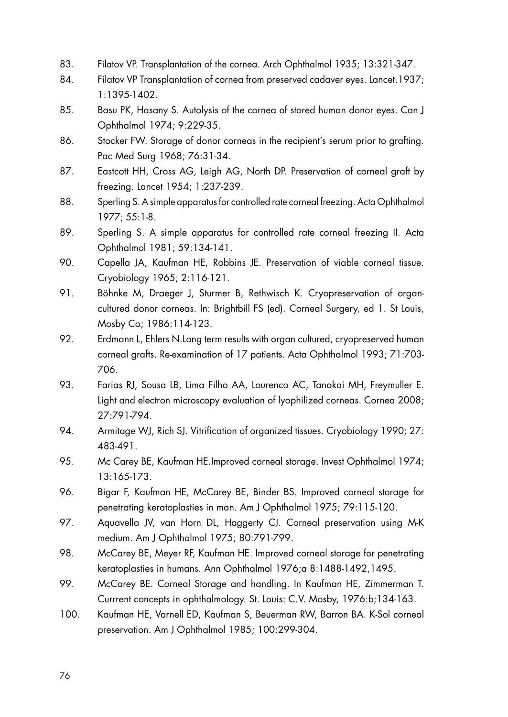- 83. Filatov VP. Transplantation of the cornea. Arch Ophthalmol 1935; 13:321-347.
- 84. Filatov VP Transplantation of cornea from preserved cadaver eyes. Lancet.1937; 1:1395-1402.
- 85. Basu PK, Hasany S. Autolysis of the cornea of stored human donor eyes. Can J Ophthalmol 1974; 9:229-35.
- 86. Stocker FW. Storage of donor corneas in the recipient's serum prior to grafting. Pac Med Surg 1968; 76:31-34.
- 87. Eastcott HH, Cross AG, Leigh AG, North DP. Preservation of corneal graft by freezing. Lancet 1954; 1:237-239.
- 88. Sperling S. A simple apparatus for controlled rate corneal freezing. Acta Ophthalmol 1977; 55:1-8.
- 89. Sperling S. A simple apparatus for controlled rate corneal freezing II. Acta Ophthalmol 1981; 59:134-141.
- 90. Capella JA, Kaufman HE, Robbins JE. Preservation of viable corneal tissue. Cryobiology 1965; 2:116-121.
- 91. Böhnke M, Draeger J, Sturmer B, Rethwisch K. Cryopreservation of organcultured donor corneas. In: Brightbill FS (ed). Corneal Surgery, ed 1. St Louis, Mosby Co; 1986:114-123.
- 92. Erdmann L, Ehlers N.Long term results with organ cultured, cryopreserved human corneal grafts. Re-examination of 17 patients. Acta Ophthalmol 1993; 71:703- 706.
- 93. Farias RJ, Sousa LB, Lima Filho AA, Lourenco AC, Tanakai MH, Freymuller E. Light and electron microscopy evaluation of lyophilized corneas. Cornea 2008; 27:791-794.
- 94. Armitage WJ, Rich SJ. Vitrification of organized tissues. Cryobiology 1990; 27: 483-491.
- 95. Mc Carey BE, Kaufman HE.Improved corneal storage. Invest Ophthalmol 1974; 13:165-173.
- 96. Bigar F, Kaufman HE, McCarey BE, Binder BS. Improved corneal storage for penetrating keratoplasties in man. Am J Ophthalmol 1975; 79:115-120.
- 97. Aguavella JV, van Horn DL, Haggerty CJ. Corneal preservation using M-K medium. Am J Ophthalmol 1975; 80:791-799.
- 98. McCarey BE, Meyer RF, Kaufman HE. Improved corneal storage for penetrating keratoplasties in humans. Ann Ophthalmol 1976;a 8:1488-1492,1495.
- 99. McCarey BE. Corneal Storage and handling. In Kaufman HE, Zimmerman T. Currrent concepts in ophthalmology. St. Louis: C.V. Mosby, 1976:b;134-163.
- 100. Kaufman HE, Varnell ED, Kaufman S, Beuerman RW, Barron BA. K-Sol corneal preservation. Am J Ophthalmol 1985; 100:299-304.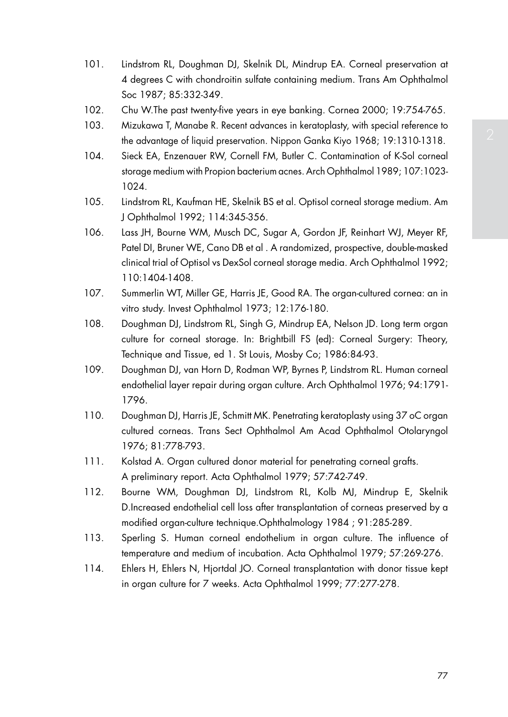- 101. Lindstrom RL, Doughman DJ, Skelnik DL, Mindrup EA. Corneal preservation at 4 degrees C with chondroitin sulfate containing medium. Trans Am Ophthalmol Soc 1987; 85:332-349.
- 102. Chu W.The past twenty-five years in eye banking. Cornea 2000; 19:754-765.
- 103. Mizukawa T, Manabe R. Recent advances in keratoplasty, with special reference to the advantage of liquid preservation. Nippon Ganka Kiyo 1968; 19:1310-1318.
- 104. Sieck EA, Enzenauer RW, Cornell FM, Butler C. Contamination of K-Sol corneal storage medium with Propion bacterium acnes. Arch Ophthalmol 1989; 107:1023- 1024.
- 105. Lindstrom RL, Kaufman HE, Skelnik BS et al. Optisol corneal storage medium. Am J Ophthalmol 1992; 114:345-356.
- 106. Lass JH, Bourne WM, Musch DC, Sugar A, Gordon JF, Reinhart WJ, Meyer RF, Patel DI, Bruner WE, Cano DB et al . A randomized, prospective, double-masked clinical trial of Optisol vs DexSol corneal storage media. Arch Ophthalmol 1992; 110:1404-1408.
- 107. Summerlin WT, Miller GE, Harris JE, Good RA. The organ-cultured cornea: an in vitro study. Invest Ophthalmol 1973; 12:176-180.
- 108. Doughman DJ, Lindstrom RL, Singh G, Mindrup EA, Nelson JD. Long term organ culture for corneal storage. In: Brightbill FS (ed): Corneal Surgery: Theory, Technique and Tissue, ed 1. St Louis, Mosby Co; 1986:84-93.
- 109. Doughman DJ, van Horn D, Rodman WP, Byrnes P, Lindstrom RL. Human corneal endothelial layer repair during organ culture. Arch Ophthalmol 1976; 94:1791- 1796.
- 110. Doughman DJ, Harris JE, Schmitt MK. Penetrating keratoplasty using 37 oC organ cultured corneas. Trans Sect Ophthalmol Am Acad Ophthalmol Otolaryngol 1976; 81:778-793.
- 111. Kolstad A. Organ cultured donor material for penetrating corneal grafts. A preliminary report. Acta Ophthalmol 1979; 57:742-749.
- 112. Bourne WM, Doughman DJ, Lindstrom RL, Kolb MJ, Mindrup E, Skelnik D.Increased endothelial cell loss after transplantation of corneas preserved by a modified organ-culture technique.Ophthalmology 1984 ; 91:285-289.
- 113. Sperling S. Human corneal endothelium in organ culture. The influence of temperature and medium of incubation. Acta Ophthalmol 1979; 57:269-276.
- 114. Ehlers H, Ehlers N, Hjortdal JO. Corneal transplantation with donor tissue kept in organ culture for 7 weeks. Acta Ophthalmol 1999; 77:277-278.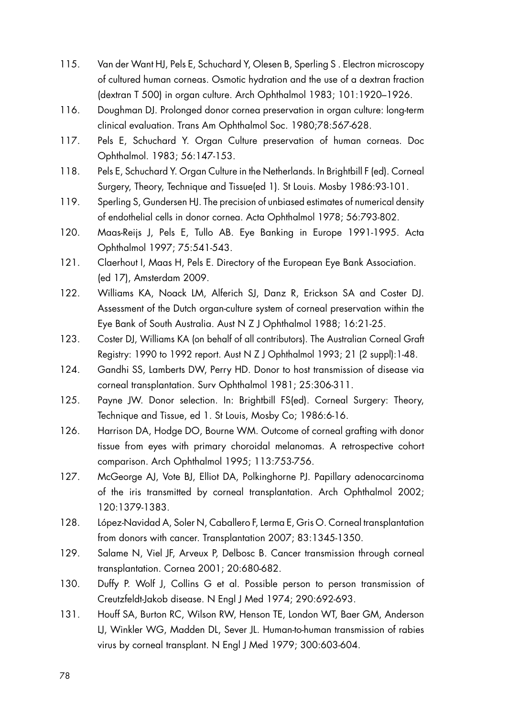- 115. Van der Want HJ, Pels E, Schuchard Y, Olesen B, Sperling S . Electron microscopy of cultured human corneas. Osmotic hydration and the use of a dextran fraction (dextran T 500) in organ culture. Arch Ophthalmol 1983; 101:1920–1926.
- 116. Doughman DJ. Prolonged donor cornea preservation in organ culture: long-term clinical evaluation. Trans Am Ophthalmol Soc. 1980;78:567-628.
- 117. Pels E, Schuchard Y. Organ Culture preservation of human corneas. Doc Ophthalmol. 1983; 56:147-153.
- 118. Pels E, Schuchard Y. Organ Culture in the Netherlands. In Brightbill F (ed). Corneal Surgery, Theory, Technique and Tissue(ed 1). St Louis. Mosby 1986:93-101.
- 119. Sperling S, Gundersen HJ. The precision of unbiased estimates of numerical density of endothelial cells in donor cornea. Acta Ophthalmol 1978; 56:793-802.
- 120. Maas-Reijs J, Pels E, Tullo AB. Eye Banking in Europe 1991-1995. Acta Ophthalmol 1997; 75:541-543.
- 121. Claerhout I, Maas H, Pels E. Directory of the European Eye Bank Association. (ed 17), Amsterdam 2009.
- 122. Williams KA, Noack LM, Alferich SJ, Danz R, Erickson SA and Coster DJ. Assessment of the Dutch organ-culture system of corneal preservation within the Eye Bank of South Australia. Aust N Z J Ophthalmol 1988; 16:21-25.
- 123. Coster DJ, Williams KA (on behalf of all contributors). The Australian Corneal Graft Registry: 1990 to 1992 report. Aust N Z J Ophthalmol 1993; 21 (2 suppl):1-48.
- 124. Gandhi SS, Lamberts DW, Perry HD. Donor to host transmission of disease via corneal transplantation. Surv Ophthalmol 1981; 25:306-311.
- 125. Payne JW. Donor selection. In: Brightbill FS(ed). Corneal Surgery: Theory, Technique and Tissue, ed 1. St Louis, Mosby Co; 1986:6-16.
- 126. Harrison DA, Hodge DO, Bourne WM. Outcome of corneal grafting with donor tissue from eyes with primary choroidal melanomas. A retrospective cohort comparison. Arch Ophthalmol 1995; 113:753-756.
- 127. McGeorge AJ, Vote BJ, Elliot DA, Polkinghorne PJ. Papillary adenocarcinoma of the iris transmitted by corneal transplantation. Arch Ophthalmol 2002; 120:1379-1383.
- 128. López-Navidad A, Soler N, Caballero F, Lerma E, Gris O. Corneal transplantation from donors with cancer. Transplantation 2007; 83:1345-1350.
- 129. Salame N, Viel JF, Arveux P, Delbosc B. Cancer transmission through corneal transplantation. Cornea 2001; 20:680-682.
- 130. Duffy P. Wolf J, Collins G et al. Possible person to person transmission of Creutzfeldt-Jakob disease. N Engl J Med 1974; 290:692-693.
- 131. Houff SA, Burton RC, Wilson RW, Henson TE, London WT, Baer GM, Anderson LJ, Winkler WG, Madden DL, Sever JL. Human-to-human transmission of rabies virus by corneal transplant. N Engl J Med 1979; 300:603-604.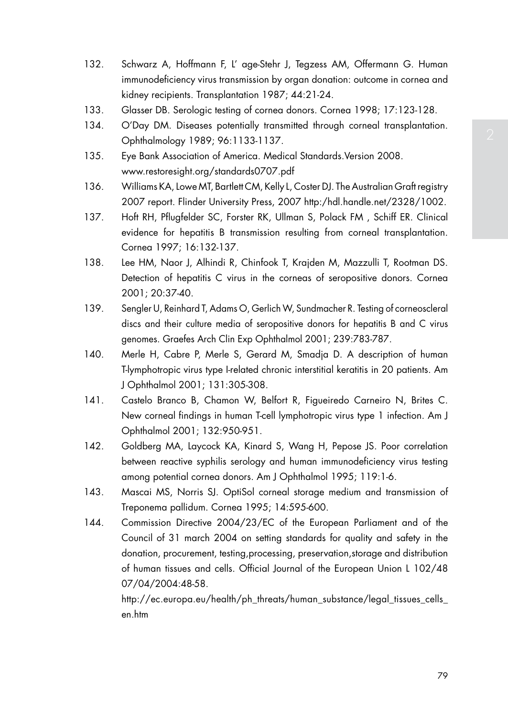- immunodeficiency virus transmission by organ donation: outcome in cornea and
- 133. Glasser DB. Serologic testing of cornea donors. Cornea 1998; 17:123-128.
- 134. O'Day DM. Diseases potentially transmitted through corneal transplantation. Ophthalmology 1989; 96:1133-1137.

132. Schwarz A, Hoffmann F, L' age-Stehr J, Tegzess AM, Offermann G. Human

135. Eye Bank Association of America. Medical Standards.Version 2008. www.restoresight.org/standards0707.pdf

kidney recipients. Transplantation 1987; 44:21-24.

- 136. Williams KA, Lowe MT, Bartlett CM, Kelly L, Coster DJ. The Australian Graft registry 2007 report. Flinder University Press, 2007 http:/hdl.handle.net/2328/1002.
- 137. Hoft RH, Pflugfelder SC, Forster RK, Ullman S, Polack FM , Schiff ER. Clinical evidence for hepatitis B transmission resulting from corneal transplantation. Cornea 1997; 16:132-137.
- 138. Lee HM, Naor J, Alhindi R, Chinfook T, Krajden M, Mazzulli T, Rootman DS. Detection of hepatitis C virus in the corneas of seropositive donors. Cornea 2001; 20:37-40.
- 139. Sengler U, Reinhard T, Adams O, Gerlich W, Sundmacher R. Testing of corneoscleral discs and their culture media of seropositive donors for hepatitis B and C virus genomes. Graefes Arch Clin Exp Ophthalmol 2001; 239:783-787.
- 140. Merle H, Cabre P, Merle S, Gerard M, Smadja D. A description of human T-lymphotropic virus type I-related chronic interstitial keratitis in 20 patients. Am J Ophthalmol 2001; 131:305-308.
- 141. Castelo Branco B, Chamon W, Belfort R, Figueiredo Carneiro N, Brites C. New corneal findings in human T-cell lymphotropic virus type 1 infection. Am J Ophthalmol 2001; 132:950-951.
- 142. Goldberg MA, Laycock KA, Kinard S, Wang H, Pepose JS. Poor correlation between reactive syphilis serology and human immunodeficiency virus testing among potential cornea donors. Am J Ophthalmol 1995; 119:1-6.
- 143. Mascai MS, Norris SJ. OptiSol corneal storage medium and transmission of Treponema pallidum. Cornea 1995; 14:595-600.
- 144. Commission Directive 2004/23/EC of the European Parliament and of the Council of 31 march 2004 on setting standards for quality and safety in the donation, procurement, testing,processing, preservation,storage and distribution of human tissues and cells. Official Journal of the European Union L 102/48 07/04/2004:48-58.

http://ec.europa.eu/health/ph\_threats/human\_substance/legal\_tissues\_cells\_ en.htm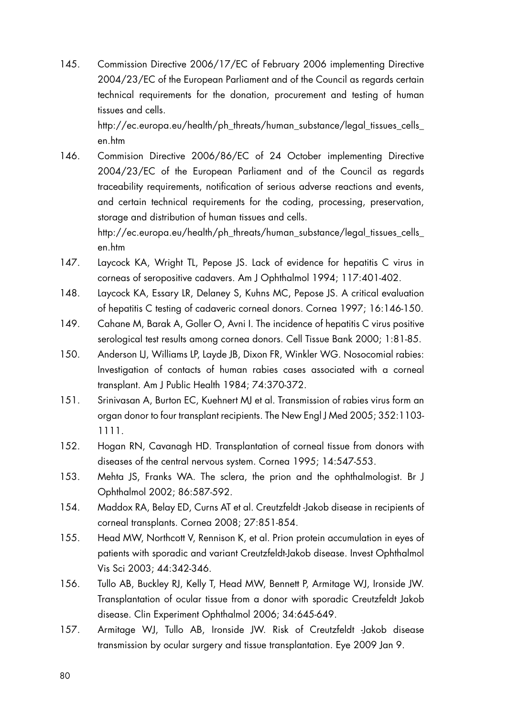145. Commission Directive 2006/17/EC of February 2006 implementing Directive 2004/23/EC of the European Parliament and of the Council as regards certain technical requirements for the donation, procurement and testing of human tissues and cells.

 http://ec.europa.eu/health/ph\_threats/human\_substance/legal\_tissues\_cells\_ en.htm

146. Commision Directive 2006/86/EC of 24 October implementing Directive 2004/23/EC of the European Parliament and of the Council as regards traceability requirements, notification of serious adverse reactions and events, and certain technical requirements for the coding, processing, preservation, storage and distribution of human tissues and cells. http://ec.europa.eu/health/ph\_threats/human\_substance/legal\_tissues\_cells\_

en.htm

- 147. Laycock KA, Wright TL, Pepose JS. Lack of evidence for hepatitis C virus in corneas of seropositive cadavers. Am J Ophthalmol 1994; 117:401-402.
- 148. Laycock KA, Essary LR, Delaney S, Kuhns MC, Pepose JS. A critical evaluation of hepatitis C testing of cadaveric corneal donors. Cornea 1997; 16:146-150.
- 149. Cahane M, Barak A, Goller O, Avni I. The incidence of hepatitis C virus positive serological test results among cornea donors. Cell Tissue Bank 2000; 1:81-85.
- 150. Anderson LJ, Williams LP, Layde JB, Dixon FR, Winkler WG. Nosocomial rabies: Investigation of contacts of human rabies cases associated with a corneal transplant. Am J Public Health 1984; 74:370-372.
- 151. Srinivasan A, Burton EC, Kuehnert MJ et al. Transmission of rabies virus form an organ donor to four transplant recipients. The New Engl J Med 2005; 352:1103- 1111.
- 152. Hogan RN, Cavanagh HD. Transplantation of corneal tissue from donors with diseases of the central nervous system. Cornea 1995; 14:547-553.
- 153. Mehta JS, Franks WA. The sclera, the prion and the ophthalmologist. Br J Ophthalmol 2002; 86:587-592.
- 154. Maddox RA, Belay ED, Curns AT et al. Creutzfeldt -Jakob disease in recipients of corneal transplants. Cornea 2008; 27:851-854.
- 155. Head MW, Northcott V, Rennison K, et al. Prion protein accumulation in eyes of patients with sporadic and variant Creutzfeldt-Jakob disease. Invest Ophthalmol Vis Sci 2003; 44:342-346.
- 156. Tullo AB, Buckley RJ, Kelly T, Head MW, Bennett P, Armitage WJ, Ironside JW. Transplantation of ocular tissue from a donor with sporadic Creutzfeldt Jakob disease. Clin Experiment Ophthalmol 2006; 34:645-649.
- 157. Armitage WJ, Tullo AB, Ironside JW. Risk of Creutzfeldt -Jakob disease transmission by ocular surgery and tissue transplantation. Eye 2009 Jan 9.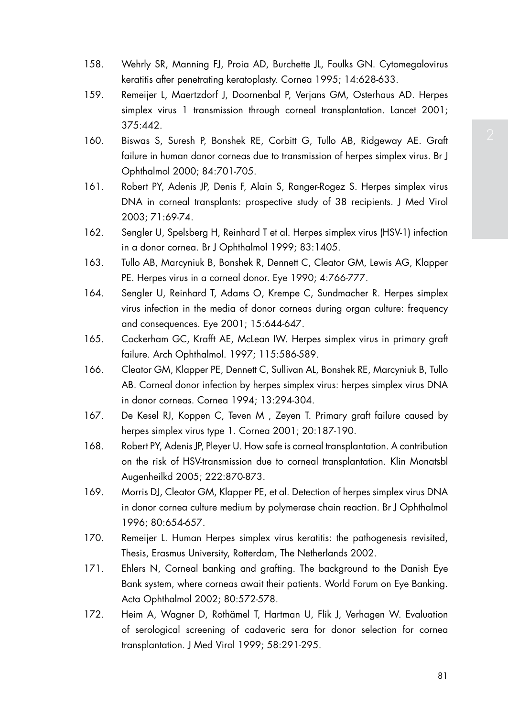- 158. Wehrly SR, Manning FJ, Proia AD, Burchette JL, Foulks GN. Cytomegalovirus keratitis after penetrating keratoplasty. Cornea 1995; 14:628-633.
- 159. Remeijer L, Maertzdorf J, Doornenbal P, Verjans GM, Osterhaus AD. Herpes simplex virus 1 transmission through corneal transplantation. Lancet 2001; 375:442.
- 160. Biswas S, Suresh P, Bonshek RE, Corbitt G, Tullo AB, Ridgeway AE. Graft failure in human donor corneas due to transmission of herpes simplex virus. Br J Ophthalmol 2000; 84:701-705.
- 161. Robert PY, Adenis JP, Denis F, Alain S, Ranger-Rogez S. Herpes simplex virus DNA in corneal transplants: prospective study of 38 recipients. J Med Virol 2003; 71:69-74.
- 162. Sengler U, Spelsberg H, Reinhard T et al. Herpes simplex virus (HSV-1) infection in a donor cornea. Br J Ophthalmol 1999; 83:1405.
- 163. Tullo AB, Marcyniuk B, Bonshek R, Dennett C, Cleator GM, Lewis AG, Klapper PE. Herpes virus in a corneal donor. Eye 1990; 4:766-777.
- 164. Sengler U, Reinhard T, Adams O, Krempe C, Sundmacher R. Herpes simplex virus infection in the media of donor corneas during organ culture: frequency and consequences. Eye 2001; 15:644-647.
- 165. Cockerham GC, Krafft AE, McLean IW. Herpes simplex virus in primary graft failure. Arch Ophthalmol. 1997; 115:586-589.
- 166. Cleator GM, Klapper PE, Dennett C, Sullivan AL, Bonshek RE, Marcyniuk B, Tullo AB. Corneal donor infection by herpes simplex virus: herpes simplex virus DNA in donor corneas. Cornea 1994; 13:294-304.
- 167. De Kesel RJ, Koppen C, Teven M , Zeyen T. Primary graft failure caused by herpes simplex virus type 1. Cornea 2001; 20:187-190.
- 168. Robert PY, Adenis JP, Pleyer U. How safe is corneal transplantation. A contribution on the risk of HSV-transmission due to corneal transplantation. Klin Monatsbl Augenheilkd 2005; 222:870-873.
- 169. Morris DJ, Cleator GM, Klapper PE, et al. Detection of herpes simplex virus DNA in donor cornea culture medium by polymerase chain reaction. Br J Ophthalmol 1996; 80:654-657.
- 170. Remeijer L. Human Herpes simplex virus keratitis: the pathogenesis revisited, Thesis, Erasmus University, Rotterdam, The Netherlands 2002.
- 171. Ehlers N, Corneal banking and grafting. The background to the Danish Eye Bank system, where corneas await their patients. World Forum on Eye Banking. Acta Ophthalmol 2002; 80:572-578.
- 172. Heim A, Wagner D, Rothämel T, Hartman U, Flik J, Verhagen W. Evaluation of serological screening of cadaveric sera for donor selection for cornea transplantation. J Med Virol 1999; 58:291-295.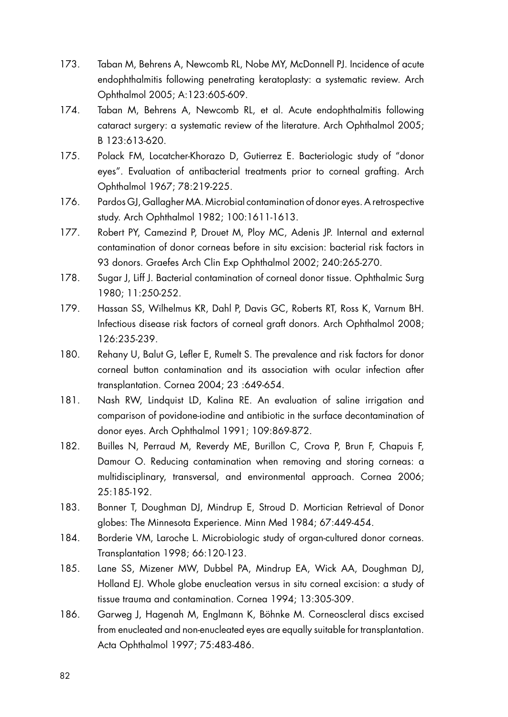- 173. Taban M, Behrens A, Newcomb RL, Nobe MY, McDonnell PJ. Incidence of acute endophthalmitis following penetrating keratoplasty: a systematic review. Arch Ophthalmol 2005; A:123:605-609.
- 174. Taban M, Behrens A, Newcomb RL, et al. Acute endophthalmitis following cataract surgery: a systematic review of the literature. Arch Ophthalmol 2005; B 123:613-620.
- 175. Polack FM, Locatcher-Khorazo D, Gutierrez E. Bacteriologic study of "donor eyes". Evaluation of antibacterial treatments prior to corneal grafting. Arch Ophthalmol 1967; 78:219-225.
- 176. Pardos GJ, Gallagher MA. Microbial contamination of donor eyes. A retrospective study. Arch Ophthalmol 1982; 100:1611-1613.
- 177. Robert PY, Camezind P, Drouet M, Ploy MC, Adenis JP. Internal and external contamination of donor corneas before in situ excision: bacterial risk factors in 93 donors. Graefes Arch Clin Exp Ophthalmol 2002; 240:265-270.
- 178. Sugar J, Liff J, Bacterial contamination of corneal donor tissue. Ophthalmic Surg 1980; 11:250-252.
- 179. Hassan SS, Wilhelmus KR, Dahl P, Davis GC, Roberts RT, Ross K, Varnum BH. Infectious disease risk factors of corneal graft donors. Arch Ophthalmol 2008; 126:235-239.
- 180. Rehany U, Balut G, Lefler E, Rumelt S. The prevalence and risk factors for donor corneal button contamination and its association with ocular infection after transplantation. Cornea 2004; 23 :649-654.
- 181. Nash RW, Lindquist LD, Kalina RE. An evaluation of saline irrigation and comparison of povidone-iodine and antibiotic in the surface decontamination of donor eyes. Arch Ophthalmol 1991; 109:869-872.
- 182. Builles N, Perraud M, Reverdy ME, Burillon C, Crova P, Brun F, Chapuis F, Damour O. Reducing contamination when removing and storing corneas: a multidisciplinary, transversal, and environmental approach. Cornea 2006; 25:185-192.
- 183. Bonner T, Doughman DJ, Mindrup E, Stroud D. Mortician Retrieval of Donor globes: The Minnesota Experience. Minn Med 1984; 67:449-454.
- 184. Borderie VM, Laroche L. Microbiologic study of organ-cultured donor corneas. Transplantation 1998; 66:120-123.
- 185. Lane SS, Mizener MW, Dubbel PA, Mindrup EA, Wick AA, Doughman DJ, Holland EJ. Whole globe enucleation versus in situ corneal excision: a study of tissue trauma and contamination. Cornea 1994; 13:305-309.
- 186. Garweg J, Hagenah M, Englmann K, Böhnke M. Corneoscleral discs excised from enucleated and non-enucleated eyes are equally suitable for transplantation. Acta Ophthalmol 1997; 75:483-486.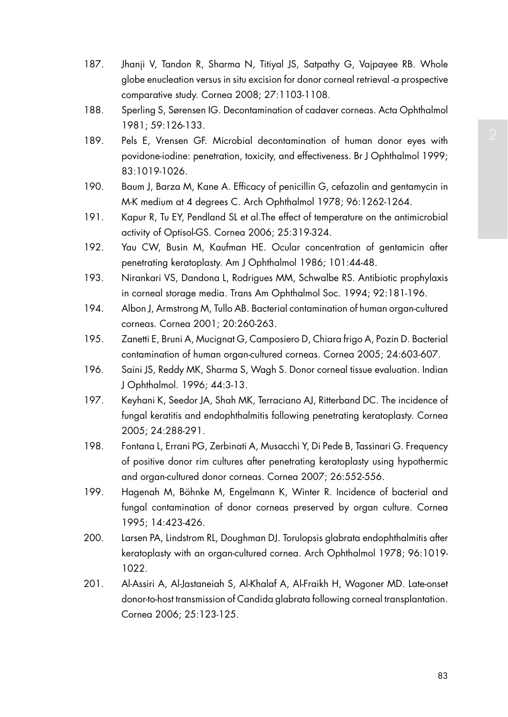- 187. Jhanji V, Tandon R, Sharma N, Titiyal JS, Satpathy G, Vajpayee RB. Whole globe enucleation versus in situ excision for donor corneal retrieval -a prospective comparative study. Cornea 2008; 27:1103-1108.
- 188. Sperling S, Sørensen IG. Decontamination of cadaver corneas. Acta Ophthalmol 1981; 59:126-133.
- 189. Pels E, Vrensen GF. Microbial decontamination of human donor eyes with povidone-iodine: penetration, toxicity, and effectiveness. Br J Ophthalmol 1999; 83:1019-1026.
- 190. Baum J, Barza M, Kane A. Efficacy of penicillin G, cefazolin and gentamycin in M-K medium at 4 degrees C. Arch Ophthalmol 1978; 96:1262-1264.
- 191. Kapur R, Tu EY, Pendland SL et al.The effect of temperature on the antimicrobial activity of Optisol-GS. Cornea 2006; 25:319-324.
- 192. Yau CW, Busin M, Kaufman HE. Ocular concentration of gentamicin after penetrating keratoplasty. Am J Ophthalmol 1986; 101:44-48.
- 193. Nirankari VS, Dandona L, Rodrigues MM, Schwalbe RS. Antibiotic prophylaxis in corneal storage media. Trans Am Ophthalmol Soc. 1994; 92:181-196.
- 194. Albon J, Armstrong M, Tullo AB. Bacterial contamination of human organ-cultured corneas. Cornea 2001; 20:260-263.
- 195. Zanetti E, Bruni A, Mucignat G, Camposiero D, Chiara frigo A, Pozin D. Bacterial contamination of human organ-cultured corneas. Cornea 2005; 24:603-607.
- 196. Saini JS, Reddy MK, Sharma S, Wagh S. Donor corneal tissue evaluation. Indian J Ophthalmol. 1996; 44:3-13.
- 197. Keyhani K, Seedor JA, Shah MK, Terraciano AJ, Ritterband DC. The incidence of fungal keratitis and endophthalmitis following penetrating keratoplasty. Cornea 2005; 24:288-291.
- 198. Fontana L, Errani PG, Zerbinati A, Musacchi Y, Di Pede B, Tassinari G. Frequency of positive donor rim cultures after penetrating keratoplasty using hypothermic and organ-cultured donor corneas. Cornea 2007; 26:552-556.
- 199. Hagenah M, Böhnke M, Engelmann K, Winter R. Incidence of bacterial and fungal contamination of donor corneas preserved by organ culture. Cornea 1995; 14:423-426.
- 200. Larsen PA, Lindstrom RL, Doughman DJ. Torulopsis glabrata endophthalmitis after keratoplasty with an organ-cultured cornea. Arch Ophthalmol 1978; 96:1019- 1022.
- 201. Al-Assiri A, Al-Jastaneiah S, Al-Khalaf A, Al-Fraikh H, Wagoner MD. Late-onset donor-to-host transmission of Candida glabrata following corneal transplantation. Cornea 2006; 25:123-125.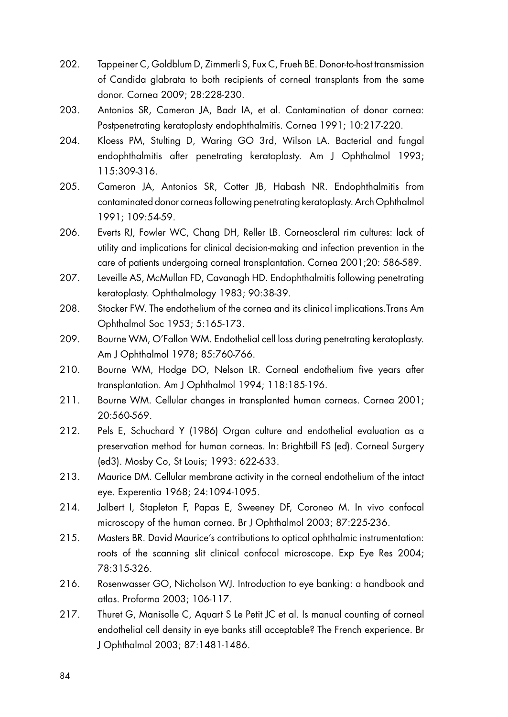- 202. Tappeiner C, Goldblum D, Zimmerli S, Fux C, Frueh BE. Donor-to-host transmission of Candida glabrata to both recipients of corneal transplants from the same donor. Cornea 2009; 28:228-230.
- 203. Antonios SR, Cameron JA, Badr IA, et al. Contamination of donor cornea: Postpenetrating keratoplasty endophthalmitis. Cornea 1991; 10:217-220.
- 204. Kloess PM, Stulting D, Waring GO 3rd, Wilson LA. Bacterial and fungal endophthalmitis after penetrating keratoplasty. Am J Ophthalmol 1993; 115:309-316.
- 205. Cameron JA, Antonios SR, Cotter JB, Habash NR. Endophthalmitis from contaminated donor corneas following penetrating keratoplasty. Arch Ophthalmol 1991; 109:54-59.
- 206. Everts RJ, Fowler WC, Chang DH, Reller LB. Corneoscleral rim cultures: lack of utility and implications for clinical decision-making and infection prevention in the care of patients undergoing corneal transplantation. Cornea 2001;20: 586-589.
- 207. Leveille AS, McMullan FD, Cavanagh HD. Endophthalmitis following penetrating keratoplasty. Ophthalmology 1983; 90:38-39.
- 208. Stocker FW. The endothelium of the cornea and its clinical implications.Trans Am Ophthalmol Soc 1953; 5:165-173.
- 209. Bourne WM, O'Fallon WM. Endothelial cell loss during penetrating keratoplasty. Am J Ophthalmol 1978; 85:760-766.
- 210. Bourne WM, Hodge DO, Nelson LR. Corneal endothelium five years after transplantation. Am J Ophthalmol 1994; 118:185-196.
- 211. Bourne WM. Cellular changes in transplanted human corneas. Cornea 2001; 20:560-569.
- 212. Pels E, Schuchard Y (1986) Organ culture and endothelial evaluation as a preservation method for human corneas. In: Brightbill FS (ed). Corneal Surgery (ed3). Mosby Co, St Louis; 1993: 622-633.
- 213. Maurice DM. Cellular membrane activity in the corneal endothelium of the intact eye. Experentia 1968; 24:1094-1095.
- 214. Jalbert I, Stapleton F, Papas E, Sweeney DF, Coroneo M. In vivo confocal microscopy of the human cornea. Br J Ophthalmol 2003; 87:225-236.
- 215. Masters BR. David Maurice's contributions to optical ophthalmic instrumentation: roots of the scanning slit clinical confocal microscope. Exp Eye Res 2004; 78:315-326.
- 216. Rosenwasser GO, Nicholson WJ. Introduction to eye banking: a handbook and atlas. Proforma 2003; 106-117.
- 217. Thuret G, Manisolle C, Aquart S Le Petit JC et al. Is manual counting of corneal endothelial cell density in eye banks still acceptable? The French experience. Br J Ophthalmol 2003; 87:1481-1486.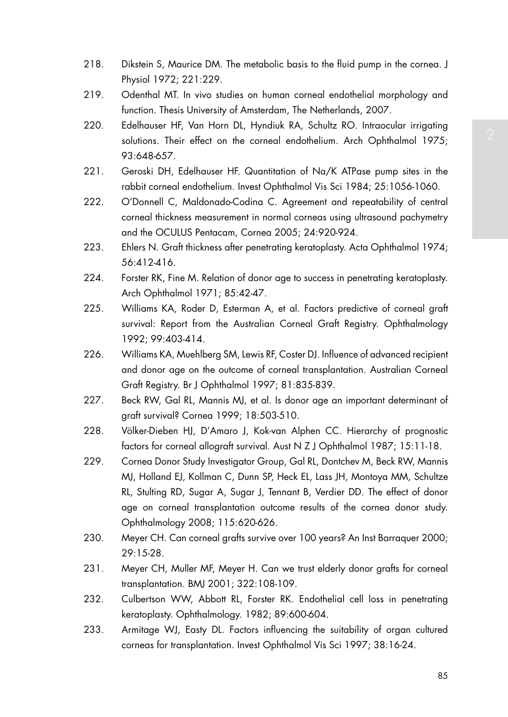- 218. Dikstein S, Maurice DM. The metabolic basis to the fluid pump in the cornea. J Physiol 1972; 221:229.
- 219. Odenthal MT. In vivo studies on human corneal endothelial morphology and function. Thesis University of Amsterdam, The Netherlands, 2007.
- 220. Edelhauser HF, Van Horn DL, Hyndiuk RA, Schultz RO. Intraocular irrigating solutions. Their effect on the corneal endothelium. Arch Ophthalmol 1975; 93:648-657.
- 221. Geroski DH, Edelhauser HF. Quantitation of Na/K ATPase pump sites in the rabbit corneal endothelium. Invest Ophthalmol Vis Sci 1984; 25:1056-1060.
- 222. O'Donnell C, Maldonado-Codina C. Agreement and repeatability of central corneal thickness measurement in normal corneas using ultrasound pachymetry and the OCULUS Pentacam, Cornea 2005; 24:920-924.
- 223. Ehlers N. Graft thickness after penetrating keratoplasty. Acta Ophthalmol 1974; 56:412-416.
- 224. Forster RK, Fine M. Relation of donor age to success in penetrating keratoplasty. Arch Ophthalmol 1971; 85:42-47.
- 225. Williams KA, Roder D, Esterman A, et al. Factors predictive of corneal graft survival: Report from the Australian Corneal Graft Registry. Ophthalmology 1992; 99:403-414.
- 226. Williams KA, Muehlberg SM, Lewis RF, Coster DJ. Influence of advanced recipient and donor age on the outcome of corneal transplantation. Australian Corneal Graft Registry. Br J Ophthalmol 1997; 81:835-839.
- 227. Beck RW, Gal RL, Mannis MJ, et al. Is donor age an important determinant of graft survival? Cornea 1999; 18:503-510.
- 228. Völker-Dieben HJ, D'Amaro J, Kok-van Alphen CC. Hierarchy of prognostic factors for corneal allograft survival. Aust N Z J Ophthalmol 1987; 15:11-18.
- 229. Cornea Donor Study Investigator Group, Gal RL, Dontchev M, Beck RW, Mannis MJ, Holland EJ, Kollman C, Dunn SP, Heck EL, Lass JH, Montoya MM, Schultze RL, Stulting RD, Sugar A, Sugar J, Tennant B, Verdier DD. The effect of donor age on corneal transplantation outcome results of the cornea donor study. Ophthalmology 2008; 115:620-626.
- 230. Meyer CH. Can corneal grafts survive over 100 years? An Inst Barraquer 2000; 29:15-28.
- 231. Meyer CH, Muller MF, Meyer H. Can we trust elderly donor grafts for corneal transplantation. BMJ 2001; 322:108-109.
- 232. Culbertson WW, Abbott RL, Forster RK. Endothelial cell loss in penetrating keratoplasty. Ophthalmology. 1982; 89:600-604.
- 233. Armitage WJ, Easty DL. Factors influencing the suitability of organ cultured corneas for transplantation. Invest Ophthalmol Vis Sci 1997; 38:16-24.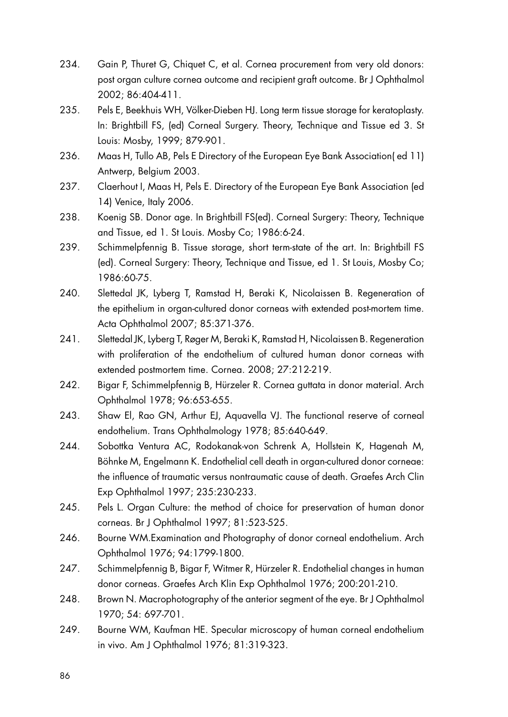- 234. Gain P, Thuret G, Chiquet C, et al. Cornea procurement from very old donors: post organ culture cornea outcome and recipient graft outcome. Br J Ophthalmol 2002; 86:404-411.
- 235. Pels E, Beekhuis WH, Völker-Dieben HJ. Long term tissue storage for keratoplasty. In: Brightbill FS, (ed) Corneal Surgery. Theory, Technique and Tissue ed 3. St Louis: Mosby, 1999; 879-901.
- 236. Maas H, Tullo AB, Pels E Directory of the European Eye Bank Association( ed 11) Antwerp, Belgium 2003.
- 237. Claerhout I, Maas H, Pels E. Directory of the European Eye Bank Association (ed 14) Venice, Italy 2006.
- 238. Koenig SB. Donor age. In Brightbill FS(ed). Corneal Surgery: Theory, Technique and Tissue, ed 1. St Louis. Mosby Co; 1986:6-24.
- 239. Schimmelpfennig B. Tissue storage, short term-state of the art. In: Brightbill FS (ed). Corneal Surgery: Theory, Technique and Tissue, ed 1. St Louis, Mosby Co; 1986:60-75.
- 240. Slettedal JK, Lyberg T, Ramstad H, Beraki K, Nicolaissen B. Regeneration of the epithelium in organ-cultured donor corneas with extended post-mortem time. Acta Ophthalmol 2007; 85:371-376.
- 241. Slettedal JK, Lyberg T, Røger M, Beraki K, Ramstad H, Nicolaissen B. Regeneration with proliferation of the endothelium of cultured human donor corneas with extended postmortem time. Cornea. 2008; 27:212-219.
- 242. Bigar F, Schimmelpfennig B, Hürzeler R. Cornea guttata in donor material. Arch Ophthalmol 1978; 96:653-655.
- 243. Shaw El, Rao GN, Arthur EJ, Aquavella VJ. The functional reserve of corneal endothelium. Trans Ophthalmology 1978; 85:640-649.
- 244. Sobottka Ventura AC, Rodokanak-von Schrenk A, Hollstein K, Hagenah M, Böhnke M, Engelmann K. Endothelial cell death in organ-cultured donor corneae: the influence of traumatic versus nontraumatic cause of death. Graefes Arch Clin Exp Ophthalmol 1997; 235:230-233.
- 245. Pels L. Organ Culture: the method of choice for preservation of human donor corneas. Br J Ophthalmol 1997; 81:523-525.
- 246. Bourne WM.Examination and Photography of donor corneal endothelium. Arch Ophthalmol 1976; 94:1799-1800.
- 247. Schimmelpfennig B, Bigar F, Witmer R, Hürzeler R. Endothelial changes in human donor corneas. Graefes Arch Klin Exp Ophthalmol 1976; 200:201-210.
- 248. Brown N. Macrophotography of the anterior segment of the eye. Br J Ophthalmol 1970; 54: 697-701.
- 249. Bourne WM, Kaufman HE. Specular microscopy of human corneal endothelium in vivo. Am J Ophthalmol 1976; 81:319-323.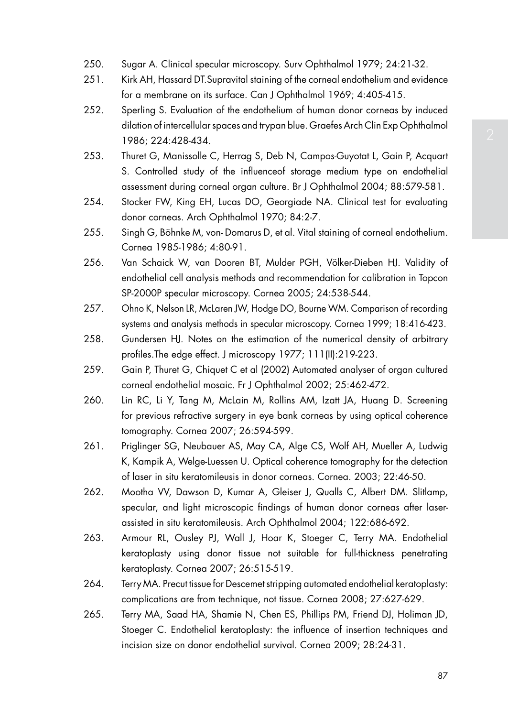- 250. Sugar A. Clinical specular microscopy. Surv Ophthalmol 1979; 24:21-32.
- 251. Kirk AH, Hassard DT.Supravital staining of the corneal endothelium and evidence for a membrane on its surface. Can J Ophthalmol 1969; 4:405-415.
- 252. Sperling S. Evaluation of the endothelium of human donor corneas by induced dilation of intercellular spaces and trypan blue. Graefes Arch Clin Exp Ophthalmol 1986; 224:428-434.
- 253. Thuret G, Manissolle C, Herrag S, Deb N, Campos-Guyotat L, Gain P, Acquart S. Controlled study of the influenceof storage medium type on endothelial assessment during corneal organ culture. Br J Ophthalmol 2004; 88:579-581.
- 254. Stocker FW, King EH, Lucas DO, Georgiade NA. Clinical test for evaluating donor corneas. Arch Ophthalmol 1970; 84:2-7.
- 255. Singh G, Böhnke M, von- Domarus D, et al. Vital staining of corneal endothelium. Cornea 1985-1986; 4:80-91.
- 256. Van Schaick W, van Dooren BT, Mulder PGH, Völker-Dieben HJ. Validity of endothelial cell analysis methods and recommendation for calibration in Topcon SP-2000P specular microscopy. Cornea 2005; 24:538-544.
- 257. Ohno K, Nelson LR, McLaren JW, Hodge DO, Bourne WM. Comparison of recording systems and analysis methods in specular microscopy. Cornea 1999; 18:416-423.
- 258. Gundersen HJ. Notes on the estimation of the numerical density of arbitrary profiles.The edge effect. J microscopy 1977; 111(II):219-223.
- 259. Gain P, Thuret G, Chiquet C et al (2002) Automated analyser of organ cultured corneal endothelial mosaic. Fr J Ophthalmol 2002; 25:462-472.
- 260. Lin RC, Li Y, Tang M, McLain M, Rollins AM, Izatt JA, Huang D. Screening for previous refractive surgery in eye bank corneas by using optical coherence tomography. Cornea 2007; 26:594-599.
- 261. Priglinger SG, Neubauer AS, May CA, Alge CS, Wolf AH, Mueller A, Ludwig K, Kampik A, Welge-Luessen U. Optical coherence tomography for the detection of laser in situ keratomileusis in donor corneas. Cornea. 2003; 22:46-50.
- 262. Mootha VV, Dawson D, Kumar A, Gleiser J, Qualls C, Albert DM. Slitlamp, specular, and light microscopic findings of human donor corneas after laserassisted in situ keratomileusis. Arch Ophthalmol 2004; 122:686-692.
- 263. Armour RL, Ousley PJ, Wall J, Hoar K, Stoeger C, Terry MA. Endothelial keratoplasty using donor tissue not suitable for full-thickness penetrating keratoplasty. Cornea 2007; 26:515-519.
- 264. Terry MA. Precut tissue for Descemet stripping automated endothelial keratoplasty: complications are from technique, not tissue. Cornea 2008; 27:627-629.
- 265. Terry MA, Saad HA, Shamie N, Chen ES, Phillips PM, Friend DJ, Holiman JD, Stoeger C. Endothelial keratoplasty: the influence of insertion techniques and incision size on donor endothelial survival. Cornea 2009; 28:24-31.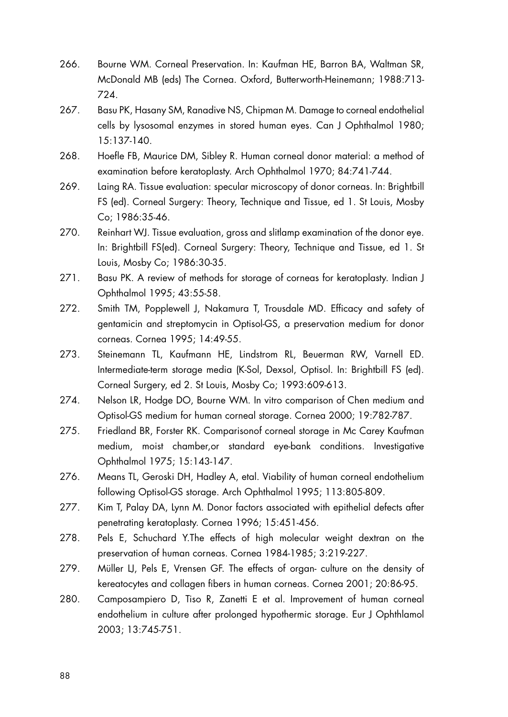- 266. Bourne WM. Corneal Preservation. In: Kaufman HE, Barron BA, Waltman SR, McDonald MB (eds) The Cornea. Oxford, Butterworth-Heinemann; 1988:713- 724.
- 267. Basu PK, Hasany SM, Ranadive NS, Chipman M. Damage to corneal endothelial cells by lysosomal enzymes in stored human eyes. Can J Ophthalmol 1980; 15:137-140.
- 268. Hoefle FB, Maurice DM, Sibley R. Human corneal donor material: a method of examination before keratoplasty. Arch Ophthalmol 1970; 84:741-744.
- 269. Laing RA. Tissue evaluation: specular microscopy of donor corneas. In: Brightbill FS (ed). Corneal Surgery: Theory, Technique and Tissue, ed 1. St Louis, Mosby Co; 1986:35-46.
- 270. Reinhart WJ. Tissue evaluation, gross and slitlamp examination of the donor eye. In: Brightbill FS(ed). Corneal Surgery: Theory, Technique and Tissue, ed 1. St Louis, Mosby Co; 1986:30-35.
- 271. Basu PK. A review of methods for storage of corneas for keratoplasty. Indian J Ophthalmol 1995; 43:55-58.
- 272. Smith TM, Popplewell J, Nakamura T, Trousdale MD. Efficacy and safety of gentamicin and streptomycin in Optisol-GS, a preservation medium for donor corneas. Cornea 1995; 14:49-55.
- 273. Steinemann TL, Kaufmann HE, Lindstrom RL, Beuerman RW, Varnell ED. Intermediate-term storage media (K-Sol, Dexsol, Optisol. In: Brightbill FS (ed). Corneal Surgery, ed 2. St Louis, Mosby Co; 1993:609-613.
- 274. Nelson LR, Hodge DO, Bourne WM. In vitro comparison of Chen medium and Optisol-GS medium for human corneal storage. Cornea 2000; 19:782-787.
- 275. Friedland BR, Forster RK. Comparisonof corneal storage in Mc Carey Kaufman medium, moist chamber,or standard eye-bank conditions. Investigative Ophthalmol 1975; 15:143-147.
- 276. Means TL, Geroski DH, Hadley A, etal. Viability of human corneal endothelium following Optisol-GS storage. Arch Ophthalmol 1995; 113:805-809.
- 277. Kim T, Palay DA, Lynn M. Donor factors associated with epithelial defects after penetrating keratoplasty. Cornea 1996; 15:451-456.
- 278. Pels E, Schuchard Y.The effects of high molecular weight dextran on the preservation of human corneas. Cornea 1984-1985; 3:219-227.
- 279. Müller LJ, Pels E, Vrensen GF. The effects of organ- culture on the density of kereatocytes and collagen fibers in human corneas. Cornea 2001; 20:86-95.
- 280. Camposampiero D, Tiso R, Zanetti E et al. Improvement of human corneal endothelium in culture after prolonged hypothermic storage. Eur J Ophthlamol 2003; 13:745-751.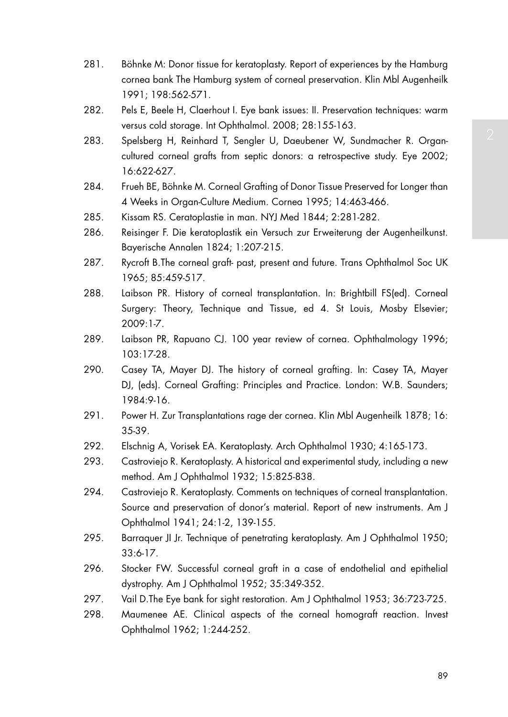- 281. Böhnke M: Donor tissue for keratoplasty. Report of experiences by the Hamburg cornea bank The Hamburg system of corneal preservation. Klin Mbl Augenheilk 1991; 198:562-571.
- 282. Pels E, Beele H, Claerhout I. Eye bank issues: II. Preservation techniques: warm versus cold storage. Int Ophthalmol. 2008; 28:155-163.
- 283. Spelsberg H, Reinhard T, Sengler U, Daeubener W, Sundmacher R. Organcultured corneal grafts from septic donors: a retrospective study. Eye 2002; 16:622-627.
- 284. Frueh BE, Böhnke M. Corneal Grafting of Donor Tissue Preserved for Longer than 4 Weeks in Organ-Culture Medium. Cornea 1995; 14:463-466.
- 285. Kissam RS. Ceratoplastie in man. NYJ Med 1844; 2:281-282.
- 286. Reisinger F. Die keratoplastik ein Versuch zur Erweiterung der Augenheilkunst. Bayerische Annalen 1824; 1:207-215.
- 287. Rycroft B.The corneal graft- past, present and future. Trans Ophthalmol Soc UK 1965; 85:459-517.
- 288. Laibson PR. History of corneal transplantation. In: Brightbill FS(ed). Corneal Surgery: Theory, Technique and Tissue, ed 4. St Louis, Mosby Elsevier; 2009:1-7.
- 289. Laibson PR, Rapuano CJ. 100 year review of cornea. Ophthalmology 1996; 103:17-28.
- 290. Casey TA, Mayer DJ. The history of corneal grafting. In: Casey TA, Mayer DJ, (eds). Corneal Grafting: Principles and Practice. London: W.B. Saunders; 1984:9-16.
- 291. Power H. Zur Transplantations rage der cornea. Klin Mbl Augenheilk 1878; 16: 35-39.
- 292. Elschnig A, Vorisek EA. Keratoplasty. Arch Ophthalmol 1930; 4:165-173.
- 293. Castroviejo R. Keratoplasty. A historical and experimental study, including a new method. Am J Ophthalmol 1932; 15:825-838.
- 294. Castroviejo R. Keratoplasty. Comments on techniques of corneal transplantation. Source and preservation of donor's material. Report of new instruments. Am J Ophthalmol 1941; 24:1-2, 139-155.
- 295. Barraquer JI Jr. Technique of penetrating keratoplasty. Am J Ophthalmol 1950; 33:6-17.
- 296. Stocker FW. Successful corneal graft in a case of endothelial and epithelial dystrophy. Am J Ophthalmol 1952; 35:349-352.
- 297. Vail D.The Eye bank for sight restoration. Am J Ophthalmol 1953; 36:723-725.
- 298. Maumenee AE. Clinical aspects of the corneal homograft reaction. Invest Ophthalmol 1962; 1:244-252.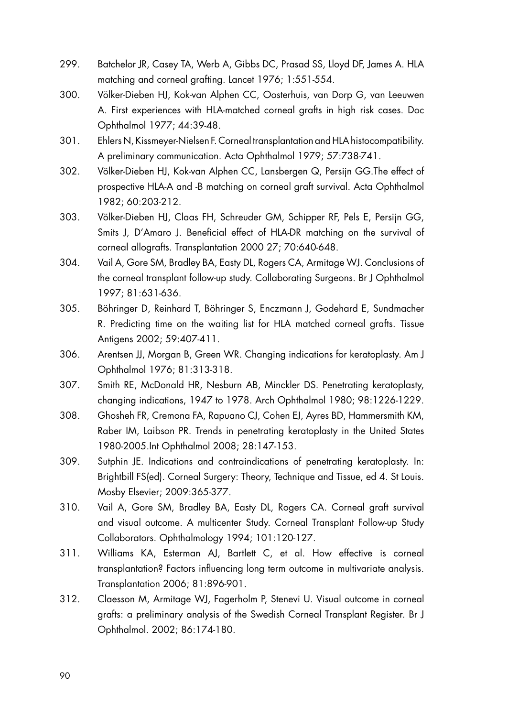- 299. Batchelor JR, Casey TA, Werb A, Gibbs DC, Prasad SS, Lloyd DF, James A. HLA matching and corneal grafting. Lancet 1976; 1:551-554.
- 300. Völker-Dieben HJ, Kok-van Alphen CC, Oosterhuis, van Dorp G, van Leeuwen A. First experiences with HLA-matched corneal grafts in high risk cases. Doc Ophthalmol 1977; 44:39-48.
- 301. Ehlers N, Kissmeyer-Nielsen F. Corneal transplantation and HLA histocompatibility. A preliminary communication. Acta Ophthalmol 1979; 57:738-741.
- 302. Völker-Dieben HJ, Kok-van Alphen CC, Lansbergen Q, Persijn GG.The effect of prospective HLA-A and -B matching on corneal graft survival. Acta Ophthalmol 1982; 60:203-212.
- 303. Völker-Dieben HJ, Claas FH, Schreuder GM, Schipper RF, Pels E, Persijn GG, Smits J, D'Amaro J. Beneficial effect of HLA-DR matching on the survival of corneal allografts. Transplantation 2000 27; 70:640-648.
- 304. Vail A, Gore SM, Bradley BA, Easty DL, Rogers CA, Armitage WJ. Conclusions of the corneal transplant follow-up study. Collaborating Surgeons. Br J Ophthalmol 1997; 81:631-636.
- 305. Böhringer D, Reinhard T, Böhringer S, Enczmann J, Godehard E, Sundmacher R. Predicting time on the waiting list for HLA matched corneal grafts. Tissue Antigens 2002; 59:407-411.
- 306. Arentsen JJ, Morgan B, Green WR. Changing indications for keratoplasty. Am J Ophthalmol 1976; 81:313-318.
- 307. Smith RE, McDonald HR, Nesburn AB, Minckler DS. Penetrating keratoplasty, changing indications, 1947 to 1978. Arch Ophthalmol 1980; 98:1226-1229.
- 308. Ghosheh FR, Cremona FA, Rapuano CJ, Cohen EJ, Ayres BD, Hammersmith KM, Raber IM, Laibson PR. Trends in penetrating keratoplasty in the United States 1980-2005.Int Ophthalmol 2008; 28:147-153.
- 309. Sutphin JE. Indications and contraindications of penetrating keratoplasty. In: Brightbill FS(ed). Corneal Surgery: Theory, Technique and Tissue, ed 4. St Louis. Mosby Elsevier; 2009:365-377.
- 310. Vail A, Gore SM, Bradley BA, Easty DL, Rogers CA. Corneal graft survival and visual outcome. A multicenter Study. Corneal Transplant Follow-up Study Collaborators. Ophthalmology 1994; 101:120-127.
- 311. Williams KA, Esterman AJ, Bartlett C, et al. How effective is corneal transplantation? Factors influencing long term outcome in multivariate analysis. Transplantation 2006; 81:896-901.
- 312. Claesson M, Armitage WJ, Fagerholm P, Stenevi U. Visual outcome in corneal grafts: a preliminary analysis of the Swedish Corneal Transplant Register. Br J Ophthalmol. 2002; 86:174-180.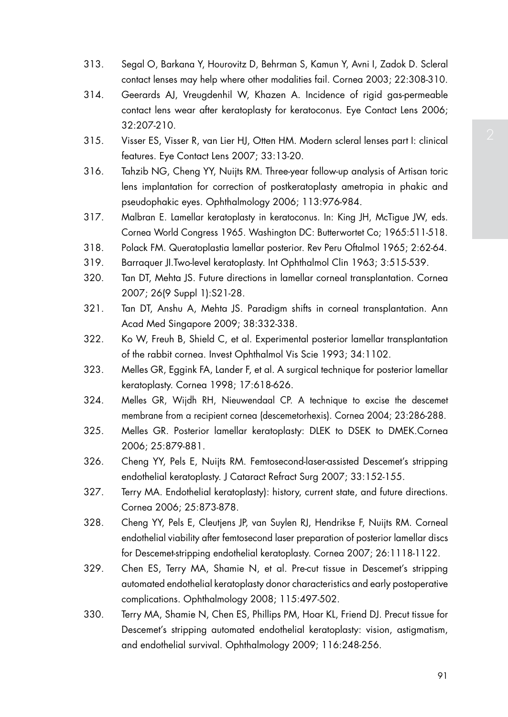- 313. Segal O, Barkana Y, Hourovitz D, Behrman S, Kamun Y, Avni I, Zadok D. Scleral contact lenses may help where other modalities fail. Cornea 2003; 22:308-310.
- 314. Geerards AJ, Vreugdenhil W, Khazen A. Incidence of rigid gas-permeable contact lens wear after keratoplasty for keratoconus. Eye Contact Lens 2006; 32:207-210.
- 315. Visser ES, Visser R, van Lier HJ, Otten HM. Modern scleral lenses part I: clinical features. Eye Contact Lens 2007; 33:13-20.
- 316. Tahzib NG, Cheng YY, Nuijts RM. Three-year follow-up analysis of Artisan toric lens implantation for correction of postkeratoplasty ametropia in phakic and pseudophakic eyes. Ophthalmology 2006; 113:976-984.
- 317. Malbran E. Lamellar keratoplasty in keratoconus. In: King JH, McTigue JW, eds. Cornea World Congress 1965. Washington DC: Butterwortet Co; 1965:511-518.
- 318. Polack FM. Queratoplastia lamellar posterior. Rev Peru Oftalmol 1965; 2:62-64.
- 319. Barraquer JI.Two-level keratoplasty. Int Ophthalmol Clin 1963; 3:515-539.
- 320. Tan DT, Mehta JS. Future directions in lamellar corneal transplantation. Cornea 2007; 26(9 Suppl 1):S21-28.
- 321. Tan DT, Anshu A, Mehta JS. Paradigm shifts in corneal transplantation. Ann Acad Med Singapore 2009; 38:332-338.
- 322. Ko W, Freuh B, Shield C, et al. Experimental posterior lamellar transplantation of the rabbit cornea. Invest Ophthalmol Vis Scie 1993; 34:1102.
- 323. Melles GR, Eggink FA, Lander F, et al. A surgical technique for posterior lamellar keratoplasty. Cornea 1998; 17:618-626.
- 324. Melles GR, Wijdh RH, Nieuwendaal CP. A technique to excise the descemet membrane from a recipient cornea (descemetorhexis). Cornea 2004; 23:286-288.
- 325. Melles GR. Posterior lamellar keratoplasty: DLEK to DSEK to DMEK.Cornea 2006; 25:879-881.
- 326. Cheng YY, Pels E, Nuijts RM. Femtosecond-laser-assisted Descemet's stripping endothelial keratoplasty. J Cataract Refract Surg 2007; 33:152-155.
- 327. Terry MA. Endothelial keratoplasty): history, current state, and future directions. Cornea 2006; 25:873-878.
- 328. Cheng YY, Pels E, Cleutjens JP, van Suylen RJ, Hendrikse F, Nuijts RM. Corneal endothelial viability after femtosecond laser preparation of posterior lamellar discs for Descemet-stripping endothelial keratoplasty. Cornea 2007; 26:1118-1122.
- 329. Chen ES, Terry MA, Shamie N, et al. Pre-cut tissue in Descemet's stripping automated endothelial keratoplasty donor characteristics and early postoperative complications. Ophthalmology 2008; 115:497-502.
- 330. Terry MA, Shamie N, Chen ES, Phillips PM, Hoar KL, Friend DJ. Precut tissue for Descemet's stripping automated endothelial keratoplasty: vision, astigmatism, and endothelial survival. Ophthalmology 2009; 116:248-256.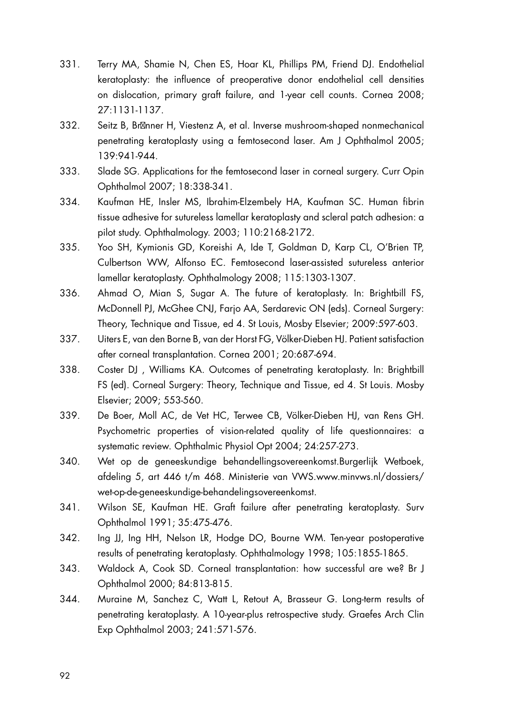- 331. Terry MA, Shamie N, Chen ES, Hoar KL, Phillips PM, Friend DJ. Endothelial keratoplasty: the influence of preoperative donor endothelial cell densities on dislocation, primary graft failure, and 1-year cell counts. Cornea 2008; 27:1131-1137.
- 332. Seitz B, Br nner H, Viestenz A, et al. Inverse mushroom-shaped nonmechanical penetrating keratoplasty using a femtosecond laser. Am J Ophthalmol 2005; 139:941-944.
- 333. Slade SG. Applications for the femtosecond laser in corneal surgery. Curr Opin Ophthalmol 2007; 18:338-341.
- 334. Kaufman HE, Insler MS, Ibrahim-Elzembely HA, Kaufman SC. Human fibrin tissue adhesive for sutureless lamellar keratoplasty and scleral patch adhesion: a pilot study. Ophthalmology. 2003; 110:2168-2172.
- 335. Yoo SH, Kymionis GD, Koreishi A, Ide T, Goldman D, Karp CL, O'Brien TP, Culbertson WW, Alfonso EC. Femtosecond laser-assisted sutureless anterior lamellar keratoplasty. Ophthalmology 2008; 115:1303-1307.
- 336. Ahmad O, Mian S, Sugar A. The future of keratoplasty. In: Brightbill FS, McDonnell PJ, McGhee CNJ, Farjo AA, Serdarevic ON (eds). Corneal Surgery: Theory, Technique and Tissue, ed 4. St Louis, Mosby Elsevier; 2009:597-603.
- 337. Uiters E, van den Borne B, van der Horst FG, Völker-Dieben HJ. Patient satisfaction after corneal transplantation. Cornea 2001; 20:687-694.
- 338. Coster DJ , Williams KA. Outcomes of penetrating keratoplasty. In: Brightbill FS (ed). Corneal Surgery: Theory, Technique and Tissue, ed 4. St Louis. Mosby Elsevier; 2009; 553-560.
- 339. De Boer, Moll AC, de Vet HC, Terwee CB, Völker-Dieben HJ, van Rens GH. Psychometric properties of vision-related quality of life questionnaires: a systematic review. Ophthalmic Physiol Opt 2004; 24:257-273.
- 340. Wet op de geneeskundige behandellingsovereenkomst.Burgerlijk Wetboek, afdeling 5, art 446 t/m 468. Ministerie van VWS.www.minvws.nl/dossiers/ wet-op-de-geneeskundige-behandelingsovereenkomst.
- 341. Wilson SE, Kaufman HE. Graft failure after penetrating keratoplasty. Surv Ophthalmol 1991; 35:475-476.
- 342. Ing JJ, Ing HH, Nelson LR, Hodge DO, Bourne WM. Ten-year postoperative results of penetrating keratoplasty. Ophthalmology 1998; 105:1855-1865.
- 343. Waldock A, Cook SD. Corneal transplantation: how successful are we? Br J Ophthalmol 2000; 84:813-815.
- 344. Muraine M, Sanchez C, Watt L, Retout A, Brasseur G. Long-term results of penetrating keratoplasty. A 10-year-plus retrospective study. Graefes Arch Clin Exp Ophthalmol 2003; 241:571-576.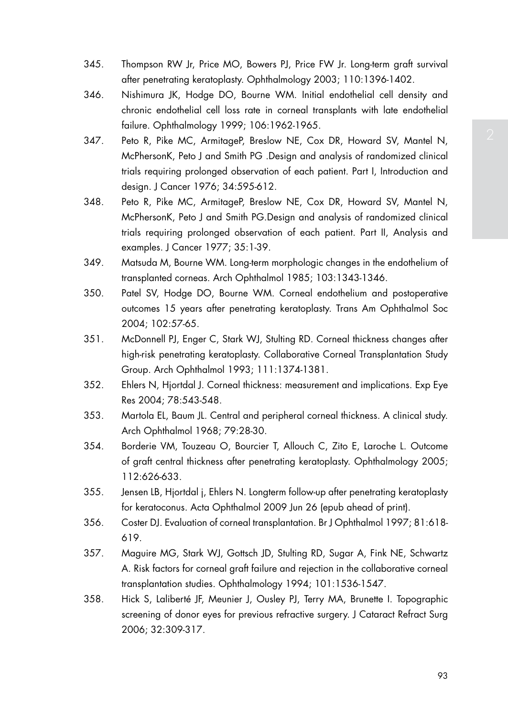- 345. Thompson RW Jr, Price MO, Bowers PJ, Price FW Jr. Long-term graft survival after penetrating keratoplasty. Ophthalmology 2003; 110:1396-1402.
- 346. Nishimura JK, Hodge DO, Bourne WM. Initial endothelial cell density and chronic endothelial cell loss rate in corneal transplants with late endothelial failure. Ophthalmology 1999; 106:1962-1965.
- 347. Peto R, Pike MC, ArmitageP, Breslow NE, Cox DR, Howard SV, Mantel N, McPhersonK, Peto J and Smith PG .Design and analysis of randomized clinical trials requiring prolonged observation of each patient. Part I, Introduction and design. J Cancer 1976; 34:595-612.
- 348. Peto R, Pike MC, ArmitageP, Breslow NE, Cox DR, Howard SV, Mantel N, McPhersonK, Peto J and Smith PG.Design and analysis of randomized clinical trials requiring prolonged observation of each patient. Part II, Analysis and examples. J Cancer 1977; 35:1-39.
- 349. Matsuda M, Bourne WM. Long-term morphologic changes in the endothelium of transplanted corneas. Arch Ophthalmol 1985; 103:1343-1346.
- 350. Patel SV, Hodge DO, Bourne WM. Corneal endothelium and postoperative outcomes 15 years after penetrating keratoplasty. Trans Am Ophthalmol Soc 2004; 102:57-65.
- 351. McDonnell PJ, Enger C, Stark WJ, Stulting RD. Corneal thickness changes after high-risk penetrating keratoplasty. Collaborative Corneal Transplantation Study Group. Arch Ophthalmol 1993; 111:1374-1381.
- 352. Ehlers N, Hjortdal J. Corneal thickness: measurement and implications. Exp Eye Res 2004; 78:543-548.
- 353. Martola EL, Baum JL. Central and peripheral corneal thickness. A clinical study. Arch Ophthalmol 1968; 79:28-30.
- 354. Borderie VM, Touzeau O, Bourcier T, Allouch C, Zito E, Laroche L. Outcome of graft central thickness after penetrating keratoplasty. Ophthalmology 2005; 112:626-633.
- 355. Jensen LB, Hjortdal j, Ehlers N. Longterm follow-up after penetrating keratoplasty for keratoconus. Acta Ophthalmol 2009 Jun 26 (epub ahead of print).
- 356. Coster DJ. Evaluation of corneal transplantation. Br J Ophthalmol 1997; 81:618- 619.
- 357. Maguire MG, Stark WJ, Gottsch JD, Stulting RD, Sugar A, Fink NE, Schwartz A. Risk factors for corneal graft failure and rejection in the collaborative corneal transplantation studies. Ophthalmology 1994; 101:1536-1547.
- 358. Hick S, Laliberté JF, Meunier J, Ousley PJ, Terry MA, Brunette I. Topographic screening of donor eyes for previous refractive surgery. J Cataract Refract Surg 2006; 32:309-317.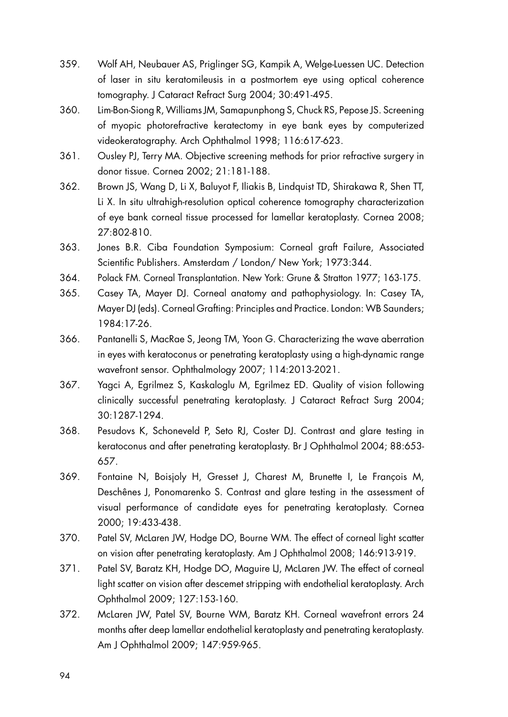- 359. Wolf AH, Neubauer AS, Priglinger SG, Kampik A, Welge-Luessen UC. Detection of laser in situ keratomileusis in a postmortem eye using optical coherence tomography. J Cataract Refract Surg 2004; 30:491-495.
- 360. Lim-Bon-Siong R, Williams JM, Samapunphong S, Chuck RS, Pepose JS. Screening of myopic photorefractive keratectomy in eye bank eyes by computerized videokeratography. Arch Ophthalmol 1998; 116:617-623.
- 361. Ousley PJ, Terry MA. Objective screening methods for prior refractive surgery in donor tissue. Cornea 2002; 21:181-188.
- 362. Brown JS, Wang D, Li X, Baluyot F, Iliakis B, Lindquist TD, Shirakawa R, Shen TT, Li X. In situ ultrahigh-resolution optical coherence tomography characterization of eye bank corneal tissue processed for lamellar keratoplasty. Cornea 2008; 27:802-810.
- 363. Jones B.R. Ciba Foundation Symposium: Corneal graft Failure, Associated Scientific Publishers. Amsterdam / London/ New York; 1973:344.
- 364. Polack FM. Corneal Transplantation. New York: Grune & Stratton 1977; 163-175.
- 365. Casey TA, Mayer DJ. Corneal anatomy and pathophysiology. In: Casey TA, Mayer DJ (eds). Corneal Grafting: Principles and Practice. London: WB Saunders; 1984:17-26.
- 366. Pantanelli S, MacRae S, Jeong TM, Yoon G. Characterizing the wave aberration in eyes with keratoconus or penetrating keratoplasty using a high-dynamic range wavefront sensor. Ophthalmology 2007; 114:2013-2021.
- 367. Yagci A, Egrilmez S, Kaskaloglu M, Egrilmez ED. Quality of vision following clinically successful penetrating keratoplasty. J Cataract Refract Surg 2004; 30:1287-1294.
- 368. Pesudovs K, Schoneveld P, Seto RJ, Coster DJ. Contrast and glare testing in keratoconus and after penetrating keratoplasty. Br J Ophthalmol 2004; 88:653- 657.
- 369. Fontaine N, Boisjoly H, Gresset J, Charest M, Brunette I, Le François M, Deschênes J, Ponomarenko S. Contrast and glare testing in the assessment of visual performance of candidate eyes for penetrating keratoplasty. Cornea 2000; 19:433-438.
- 370. Patel SV, McLaren JW, Hodge DO, Bourne WM. The effect of corneal light scatter on vision after penetrating keratoplasty. Am J Ophthalmol 2008; 146:913-919.
- 371. Patel SV, Baratz KH, Hodge DO, Maguire LJ, McLaren JW. The effect of corneal light scatter on vision after descemet stripping with endothelial keratoplasty. Arch Ophthalmol 2009; 127:153-160.
- 372. McLaren JW, Patel SV, Bourne WM, Baratz KH. Corneal wavefront errors 24 months after deep lamellar endothelial keratoplasty and penetrating keratoplasty. Am J Ophthalmol 2009; 147:959-965.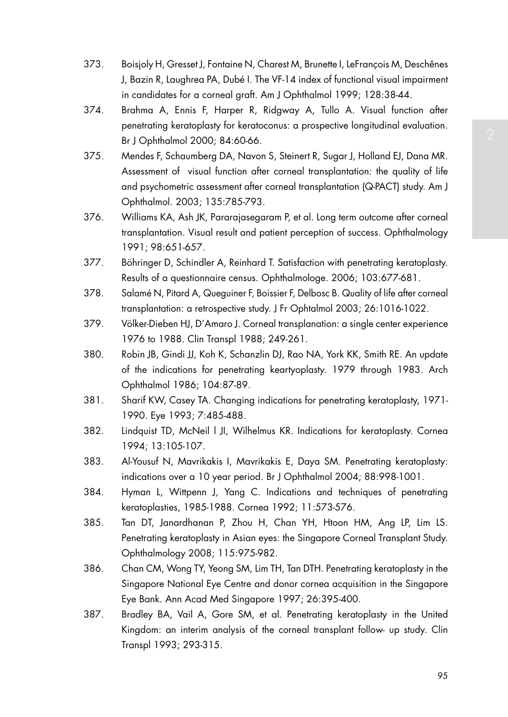- 373. Boisjoly H, Gresset J, Fontaine N, Charest M, Brunette I, LeFrançois M, Deschênes J, Bazin R, Laughrea PA, Dubé I. The VF-14 index of functional visual impairment in candidates for a corneal graft. Am J Ophthalmol 1999; 128:38-44.
- 374. Brahma A, Ennis F, Harper R, Ridgway A, Tullo A. Visual function after penetrating keratoplasty for keratoconus: a prospective longitudinal evaluation. Br J Ophthalmol 2000; 84:60-66.
- 375. Mendes F, Schaumberg DA, Navon S, Steinert R, Sugar J, Holland EJ, Dana MR. Assessment of visual function after corneal transplantation: the quality of life and psychometric assessment after corneal transplantation (Q-PACT) study. Am J Ophthalmol. 2003; 135:785-793.
- 376. Williams KA, Ash JK, Pararajasegaram P, et al. Long term outcome after corneal transplantation. Visual result and patient perception of success. Ophthalmology 1991; 98:651-657.
- 377. Böhringer D, Schindler A, Reinhard T. Satisfaction with penetrating keratoplasty. Results of a questionnaire census. Ophthalmologe. 2006; 103:677-681.
- 378. Salamé N, Pitard A, Queguiner F, Boissier F, Delbosc B. Quality of life after corneal transplantation: a retrospective study. J Fr Ophtalmol 2003; 26:1016-1022.
- 379. Völker-Dieben HJ, D'Amaro J. Corneal transplanation: a single center experience 1976 to 1988. Clin Transpl 1988; 249-261.
- 380. Robin JB, Gindi JJ, Koh K, Schanzlin DJ, Rao NA, York KK, Smith RE. An update of the indications for penetrating keartyoplasty. 1979 through 1983. Arch Ophthalmol 1986; 104:87-89.
- 381. Sharif KW, Casey TA. Changing indications for penetrating keratoplasty, 1971- 1990. Eye 1993; 7:485-488.
- 382. Lindquist TD, McNeil l JI, Wilhelmus KR. Indications for keratoplasty. Cornea 1994; 13:105-107.
- 383. Al-Yousuf N, Mavrikakis I, Mavrikakis E, Daya SM. Penetrating keratoplasty: indications over a 10 year period. Br J Ophthalmol 2004; 88:998-1001.
- 384. Hyman L, Wittpenn J, Yang C. Indications and techniques of penetrating keratoplasties, 1985-1988. Cornea 1992; 11:573-576.
- 385. Tan DT, Janardhanan P, Zhou H, Chan YH, Htoon HM, Ang LP, Lim LS. Penetrating keratoplasty in Asian eyes: the Singapore Corneal Transplant Study. Ophthalmology 2008; 115:975-982.
- 386. Chan CM, Wong TY, Yeong SM, Lim TH, Tan DTH. Penetrating keratoplasty in the Singapore National Eye Centre and donor cornea acquisition in the Singapore Eye Bank. Ann Acad Med Singapore 1997; 26:395-400.
- 387. Bradley BA, Vail A, Gore SM, et al. Penetrating keratoplasty in the United Kingdom: an interim analysis of the corneal transplant follow- up study. Clin Transpl 1993; 293-315.